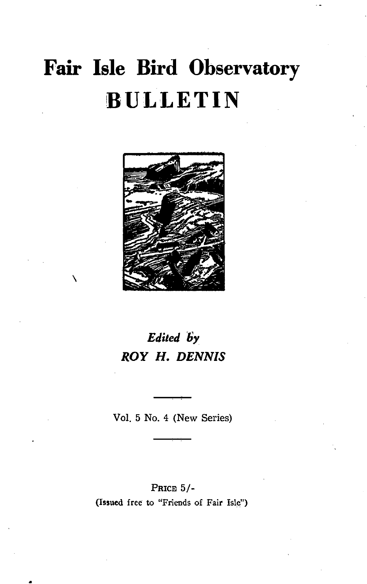# **Fair Isle Bird Observatory !BULLETIN**



\

# *Edited* **6'Y**  *ROY* **H.** *DENNIS*

Vol. 5 No. 4 (New Series)

PRICE 5/- (Issued free to "Friends of Fair Isle")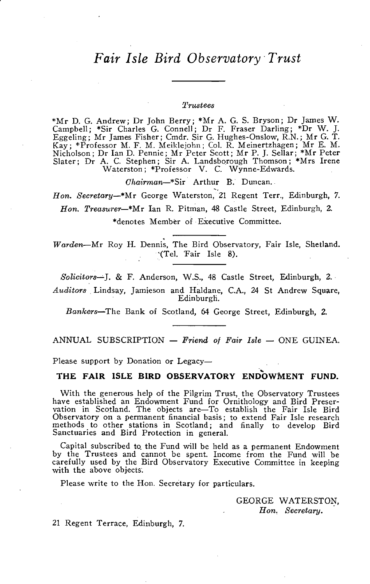# *Fair Isle Bird Observatory' Trust*

#### *:l'rustees*

\*Mr D. G. Andrew; Dr John Berry; \*Mr A. G. S. Bryson; Dr James W. Campbell; \*Sir Charles G. ConneIl; Dr F. Fraser Darling; \*Dr W. J. Eggeling; Mr James Fisher; Cmdr. Sir G. Hughes-Onslow, R.N.; Mr G. T. Kay; \*Professor M. F. M. Meiklejohn; Col. R. Meinertzhagen; Mr E. M. Nicholson; Dr Ian D. Pennie; Mr Peter Scott; Mr P. J. Sellar; \*Mr Peter Slater; Dr A. C. Stephen; Sir A. Landsborough Thomson; \*Mrs Irene Waterston; \*Professor V. C. Wynne-Edwards.

*Ghairman*-\*Sir Arthur B. Duncan.

*Hon. Secretary-\*Mr* George Waterston, 21 Regent Terr., Edinburgh, 7. *Hon. TreaSU1'er-\*Mr* Ian R. Pitman, 48 Castle Street, Edinburgh, 2. \*denotes Member of Executive Committee.

*Warden*-Mr Roy H. Dennis, The Bird Observatory, Fair Isle, Shetland. «Tel. Fair Isle 8).

*Solicitors-'-*J. & F. Anderson, W.S., 48 Castle Street, Edinburgh, 2. *Auditors.* Lindsay, Jamieson and Haldane, C.A., 24 St Andrew Square, Edinburgh.

*Bankers-The* Bank of Scotland, 64 George Street, Edinburgh, 2.

ANNUAL SUBSCRIPTION - Friend of Fair Isle - ONE GUINEA.

# Please support by Donation or Legacy-<br>THE FAIR ISLE BIRD OBSERVATORY ENDOWMENT FUND.

With the generous help of the Pilgrim Trust, the Observatory Trustees have established an Endowment Fund for Ornithology and Bird Preser-vation in Scotland. The objects are-To establish the Fair Isle Bird Observatory on a permanent financial basis; to extend Fair Isle research methods to other stations in Scotland; and finally to develop Bird Sanctuaries and Bird Protection in general.

Capital subscribed to. the Fund will be held as a permanent Endowment by the Trustees and cannot be spent. Income from the Fund will be carefully used by the Bird Observatory Executive Committee in keeping with the above objects.

Please write to the Hon. Secretary for particulars.

GEORGE WATERSTON,  $H$ on. Secretary.

21 Regent Terrace, Edinburgh, 7.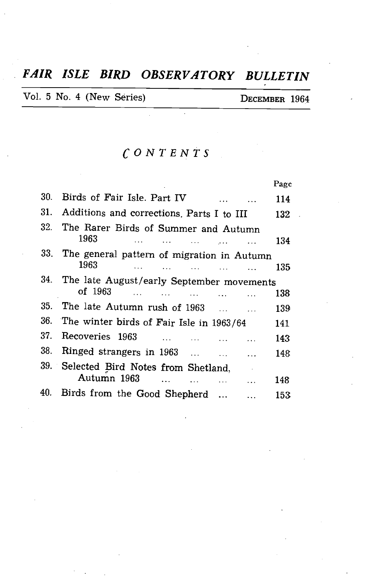# *FAIR ISLE BIRD OBSERVATORY BULLETIN*

l,

Vol. 5 No. 4 (New Series) DECEMBER 1964

# *CONTENTS*

|     |                                                                                                    | Page |
|-----|----------------------------------------------------------------------------------------------------|------|
| 30. | Birds of Fair Isle. Part IV                                                                        | 114  |
|     | 31. Additions and corrections. Parts I to III                                                      | 132  |
| 32. | The Rarer Birds of Summer and Autumn<br>1963<br>المتفاد المتفرد المتفاد المعتقد المتعد             | 134  |
| 33. | The general pattern of migration in Autumn<br>1963<br>الموارد والمتعارض المتعارض المتعارض المتعارض | 135  |
|     | 34. The late August/early September movements<br>of 1963                                           | 138  |
| 35. | The late Autumn rush of 1963                                                                       | 139  |
| 36. | The winter birds of Fair Isle in 1963/64                                                           | 141  |
| 37. | <b>Recoveries 1963</b>                                                                             | 143  |
| 38. | Ringed strangers in $1963$                                                                         | 148  |
|     | 39. Selected Bird Notes from Shetland,<br>Autumn 1963                                              |      |
|     |                                                                                                    | 148  |
| 40. | Birds from the Good Shepherd                                                                       | 153  |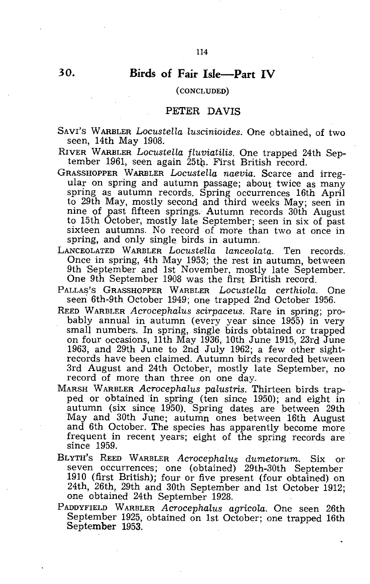### **Birds of Fair Isle-Part IV**

#### ( CONCLUDED)

#### PETER DAVIS

SAVI'S WARBLER *LocusteHa Luscinioides.* One obtained, of two seen, 14th May 1908.

RIVER WARBLER *Locustella fluviatilis.* One trapped 24th September 1961, seen again 25tb. First British record.

- GRASSHOPPER WARBLER *Locustella naevia.* Scarce and irregular on spring and autumn passage; about twice as many spring as autumn records. Spring occurrences 16th April to 29th May, mostly second and third weeks May; seen in nine of past fifteen springs. Autumn records 30th August to 15th October, mostly late September; seen in six of past sixteen autumns. No record of more than two at once in spring, and only single birds in autumn.
- LANCEOLATED WARBLER *Locustella lanceolata.* Ten records. Once in spring, 4th May 1953; the rest in autumn, between 9th 'September and 1st November, mostly late September. One 9th September 1908 was the first British record.
- PALLAS'S GRASSHOPPER WARBLER *Locustella certhiola.* One seen 6th-9th October 1949; one trapped 2nd October 1956.
- REED WARBLER *Acrocephalus scirpaceus.* Rare in spring; probably annual in autumn (every year since 1955) in very small numbers. In spring, single birds obtained or trapped on four occasions, 11th May 1936, 10th June 1915, 23rd June 1963, and 29th June to 2nd July 1962; a few other sightrecords have been claimed. Autumn birds recorded between 3rd August and 24th October, mostly late September, no record of more than three on one day.
- MARSH WARBLER *Acrocephalus palustris.* Thirteen birds trapped or obtained in spring (ten since 1950); and eight in autumn (six since 1950). Spring dates are between 29th May and 30th June; autumn ones between 16th August and 6th October. The species has apparently become more frequent in recent years; eight of the spring records are since 1959.
- BLYTH'S REED WARBLER *Acrocephalus dumetorum.* Six or seven occurrences; one (obtained) 29th-30th September 1910 (first British); four or five present (four obtained) on 24th, 26th, 29th and 30th September and 1st October 1912; one obtained 24th September 1928.
- PADDYFIELD WARBLER *Acrocephalus agricola.* One seen 26th September 1925, obtained on 1st October; one trapped 16th September 1953.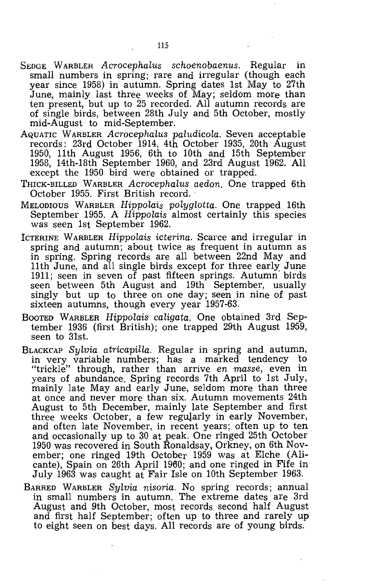- SEDGE WARBLER *Acrocephalus schoenobaenus.* Regular in small numbers in spring; rare and irregular (though each year since 1958) in autumn. Spring dates 1st May to 27th June, mainly last three weeks of May; seldom more than ten present, but up to 25 recorded. All autumn records are of single birds, between 28th July and 5th October, mostly mid-August to mid-September.
- AQUATIC WARBLER *Acrocephalus paludicola.* Seven acceptable records: 23rd October 1914, 4th October 1935, 20th August 1950, 11th August 1956, 6th to 10th and 15th September 1958, 14th-18th September 1960, and 23rd August 1962. All except the 1950 bird were obtained or trapped.
- THICK-BILLED WARBLER *Acrocephalus aedon.* One trapped 6th October 1955. First British record.
- MELODIOUS WARBLER *Hippolais polyglotta.* One trapped 16th September 1955. A *Hippolais* almost certainly this species was seen 1st September 1962.
- ICTERINE WARBLER *Hippolais icterina.* Scarce and irregular in spring and autumn; about twice as frequent in autumn as in spring. Spring records are all between 22nd May and 11th June, and all single birds except for three early June 1911; seen in seven of past fifteen springs. Autumn birds seen between 5th August and 19th September, usually singly but up to three on one day; seen in nine of past sixteen autumns, though every year 1957-63.
- BOOTED WARBLER *Hippolais caligata.* One obtained 3rd September 1936 (first British); one trapped 29th August 1959, seen to 31st.
- BLACKCAP *Sylvia atricapilla.* Regular in spring and autumn, in very variable numbers; has a marked tendency to "trickle" through, rather than arrive *en masse,* even in years of abundance. Spring records 7th April to 1st July, mainly late May and early June, seldom more than three at once and never more than six. Autumn movements 24th August to 5th December, mainly late September and first three weeks October, a few regularly in early November, and often late November, in recent years; often up to ten and occasionally up to 30 at peak. One ringed 25th October 1950 was recovered in South Ronaldsay, Orkney, on 6th November; one ringed 19th October 1959 was at Elche (Alicante), Spain on 26th April 1960; and one ringed in Fife in July 1963 was caught at Fair Isle on 10th September 1963.
- BARRED WARBLER *Sylvia nisoria.* No spring records; annual in small numbers in autumn. The extreme dates are 3rd August and 9th October, most records second half August and first half September; often up to three and rarely up to eight seen on best days. All records are of young birds.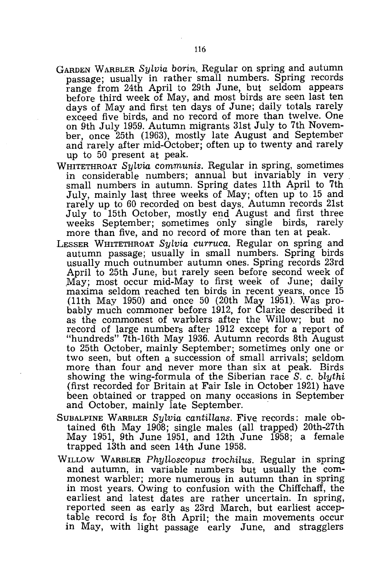- GARDEN WARBLER *Sylvia borin.* Regular on spring and autumn passage; usually in rather small numbers. Spring records range from 24th April to 29th June, but seldom appears before third week of May, and most birds are seen last ten days of May and first ten days of June; daily totals rarely exceed five birds, and no record of more than twelve. One on 9th July 1959. Autumn migrants 31st July to 7th November, once 25th (1963), mostly late August and September and rarely after mid-October; often up to twenty and rarely up to 50 present at peak.
- WHITETHROAT *Sylvia communis.* Regular in spring, sometimes in considerable numbers; annual but invariably in very small numbers in autumn. Spring dates 11th April to 7th July, mainly last three weeks of May; often up to 15 and rarely up to 60 recorded on best days. Autumn records 21st July to 15th October, mostly end August and first three weeks September; sometimes only single birds, rarely more than five, and no record of more than ten at peak.
- LESSER WHITETHROAT *Sylvia curruca.* Regular on spring and autumn passage; usually in small numbers. Spring birds usually much outnumber autumn ones. Spring records 23rd April to 25th June, but rarely seen before second week of .May; most occur mid-May to first week of June; daily maxima seldom reached ten birds in recent years, once 15 (11th May 1950) and once 50 (20th May 1951). Was probably much commoner before 1912, for Clarke described it as the commonest of warblers after the Willow; but no record of large numbers after 1912 except for a report of "hundreds" 7th-16th May 1936. Autumn records 8th August to 25th October, mainly September; sometimes only one or two seen, but often a succession of small arrivals; seldom more than four and never more than six at peak. Birds showing the wing-formula of the Siberian race *S.* c. *blythi*  (first recorded for Britain at Fair Isle in October 1921) have been obtained or trapped on many occasions in September and October, mainly late September.
- SUBALPINE WARBLER *Sylvia cantillans.* Five records: male obtained 6th May 1908; single males (all trapped) 20th-27th May 1951, 9th June 1951, and 12th June 1958; a female trapped 13th and seen 14th June 1958.
- WILLOW WARBLER *Phylloscopus trochilus.* Regular in spring and autumn, in variable numbers but usually the commonest warbler; more numerous in autumn than in spring in most years. Owing to confusion with the Chiffchaff, the earliest and latest dates are rather uncertain. In spring, reported seen as early as 23rd March, but earliest acceptable record is for 8th April; the main movements occur in May, with light passage early June, and stragglers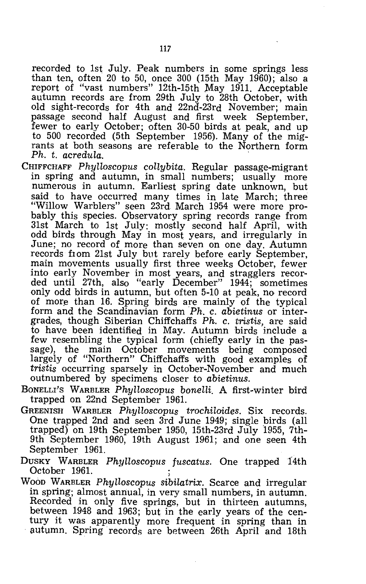recorded to 1st July. Peak numbers in some springs less than ten, often 20 to 50, once  $300$  (15th May 1960); also a report of "vast numbers" 12th-15th May 1911. Acceptable autumn records are from 29th July to 28th October, with old sight-records for 4th and 22nd-23rd November; main passage second half August and first week September, fewer to early October; often 30-50 birds at peak, and up to 500 recorded (5th September 1956). Many of the migrants at both seasons are referable to the Northern form *Ph. t. acredula.* 

- CHIFFCHAFF Phylloscopus collybita. Regular passage-migrant in spring and autumn, in small numbers; usually more numerous in autumn. Earliest spring date unknown, but said to have occurred many times in late March; three "Willow Warblers" seen 23rd March 1954 were more probably this species. Observatory spring records range from 31st March to 1st July: mostly second half April, with odd birds through May in most years, and irregularly in June; no record of more than seven on one day. Autumn records from 21st JUly but rarely before early September, main movements usually first three weeks October, fewer into early November in most years, and stragglers recorded until 27th, also "early December" 1944; sometimes only odd birds in autumn, but often 5-10 at peak, no record of more than 16. Spring birds are mainly of the typical form and the Scandinavian form *Ph.* c. *abietinus* or intergrades, though Siberian Chiffchaffs *Ph.* c. *tristis,* are said to have been identified in May. Autumn birds include a few resembling the typical form (chiefly early in the passage), the main October movements being composed largely of "Northern" Chiffchaffs with good examples of *tristis* occurring sparsely in October-November and much outnumbered by specimens closer to *abietinus.*
- BONELLI'S WARBLER *Phylloscopus bonelli.* A first-winter bird trapped on 22nd September 1961.
- GREENISH WARBLER *Phylloscopus trochiloides.* Six records. One trapped 2nd and seen 3rd June 1949; single birds (all trapped) on 19th September 1950, 15th-23rd July 1955, 7th-9th September 1960, 19th August 1961; and one seen 4th September 1961.
- DUSKY WARBLER *Phylloscopus fuscatus*. One trapped 14th October 1961.
- WOOD WARBLER *Phylloscopus sibilatrix.* Scarce and irregular in spring; almost annual, in very small numbers, in autumn. Recorded in only five springs, but in thirteen autumns, between 1948 and 1963; but in the early years of the century it was apparently more frequent in spring than in autumn. Spring records are between 26th April and 18th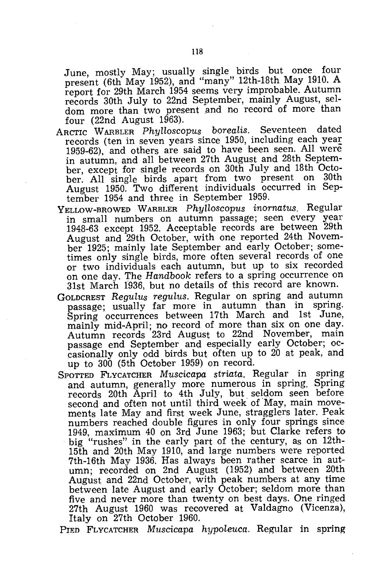June, mostly May; usually single birds but once four present (6th May 1952), and "many" 12th-18th May 1910. A report for 29th March 1954 seems very improbable. Autumn records 30th July to 22nd September, mainly August, seldom more than two present and no record of more than four  $(22nd$  August  $1963)$ .

- ARCTIC WARBLER *Phylloscopus borealis.* Seventeen dated records (ten in seven years since 1950, including each year 1959-62), and others are said to have been seen. All were in autumn, and all between 27th August and 28th September, except for single records on 30th July and 18th October. All single birds apart from two present on 30th August 1950. Two different individuals occurred in September 1954 and three in September 1959.
- YELLOW-BROWED WARBLER *Phylloscopus inornatus.* Regular in small numbers on autumn passage; seen every year 1948-63 except 1952. Acceptable records are between 29th August and 29th October, with one reported 24th November 1925; mainly late September and early October; sometimes only single birds, more often several records of one or two individuals each autumn, but up to six recorded on one day. The *Handbook* refers to a spring occurrence on 31st March 1936, but no details of this record are known.
- GOLDCREST *Regulus regulus.* Regular on spring and autumn passage; usually far more in autumn than in spring. Spring occurrences between 17th March and 1st June, mainly mid-April; no record of more than six on one day. Autumn records 23rd August to 22nd November, main passage end September and especially early October; occasionally only odd birds but often up to 20 at peak, and up to 300 (5th October 1959) on record.
- SPOTTED FLYCATCHER *Muscicapa striata.* Regular in spring and autumn, generally more numerous in spring. Spring records 20th April to 4th July, but seldom seen before second and often not until third week of May, main movements late May and first week June, stragglers later. Peak numbers reached double figures in only four springs since 1949, maximum 40 on 3rd June 1963; but Clarke refers to big "rushes" in the early part of the century, as on 12th-15th and 20th May 1910, and large numbers were reported 7th-16th May 1936. Has always been rather scarce in autumn; recorded on 2nd August (1952) and between 20th August and 22nd October, with peak numbers at any time between late August and early October; seldom more than five and never more than twenty on best days. One ringed 27th August 1960 was recovered at Valdagno (Vicenza), Italy on 27th October 1960.

PIED FLYCATCHER *Muscicapa hypoleuca.* Regular in spring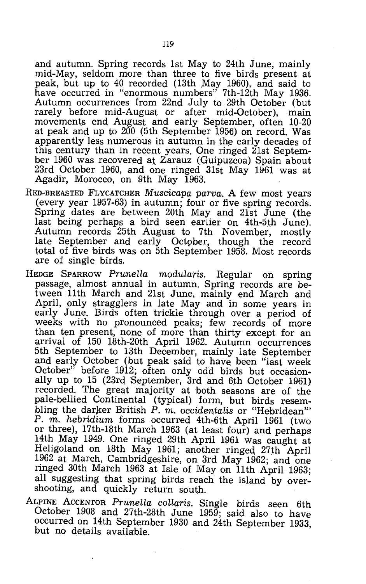and autumn. Spring records 1st May to 24th June, mainly mid-May, seldom more than three to five birds present at peak, but up to 40 recorded (13th May 1960), and said to have occurred in "enormous numbers" 7th-12th May 1936. Autumn occurrences from 22nd July to 29th October (but rarely before mid-August or after mid-October), main movements end August and early September, often 10-20 at peak and up to 200 (5th September 1956) on record. Was apparently less numerous in autumn in the early decades of this century than in recent years. One ringed  $21st$  September 1960 was recovered at Zarauz (Guipuzcoa) Spain about 23rd October 1960, and one ringed  $31st$  May  $1961$  was at Agadir, Morocco, on 9th May 1963.

- RED-BREASTED FLYCATCHER *Muscicapa parva.* A few most years (every year 1957-63) in autumn; four or five spring records. Spring dates are between 20th May and 21st June (the last being perhaps a bird seen earlier on 4th-5th June). Autumn records 25th August to 7th November, mostly late September and early October, though the record total of five birds was on 5th September 1958. Most records are of single birds.
- HEDGE SPARROW *Prunella modularis.* Regular on spring passage, almost annual in autumn. Spring records are between 11th March and 21st June, mainly end March and April, only stragglers in late May and in some years in early June. Birds often trickle through over a period of weeks with no pronounced peaks; few records of more than ten present, none of more than thirty except for an arrival of 150 18th-20th April 1962. Autumn occurrences 5th September to 13th December, mainly late September and early October (but peak said to have been "last week October" before 1912; often only odd birds but occasionally up to 15 (23rd September, 3rd and 6th October 1961) recorded. The great majority at both seasons are of the pale-bellied Continental (typical) form, but birds resembling the darker British P. m. occidentalis or "Hebridean" P. m. *hebridium* forms occurred 4th-6th April 1961 (two or three), 17th-18th March 1963 (at least four) and perhaps 14th May 1949. One ringed 29th April 1961 was caught at Heligoland on 18th May 1961; another ringed 27th April 1962 at March, Cambridgeshire, on 3rd May 1962; and one ringed 30th March 1963 at Isle of May on 11th April 1963; all suggesting that spring birds reach the island by overshooting, and quickly return south.
- ALPINE ACCENTOR *Prunella collaris.* Single birds seen 6th October 1908 and 27th-28th June 1959; said also to have occurred on 14th September 1930 and 24th September 1933, but no details available.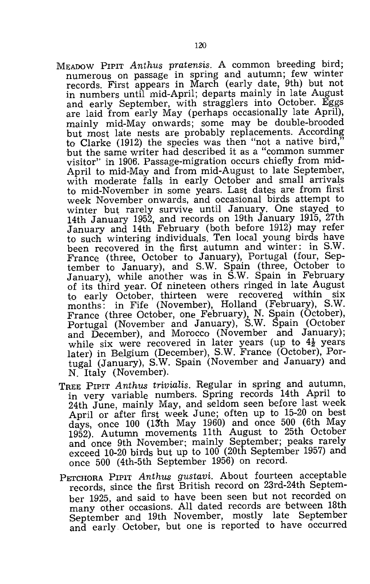- MEADOW PIPIT *Anthus pratensis.* A common breeding bird; numerous on passage in spring and autumn; few winter records. First appears in March (early date, 9th) but not in numbers until mid-April; departs mainly in late August and early September, with stragglers into October. Eggs are laid from early May (perhaps occasionally late April), mainly mid-May onwards; some may be double-brooded but most late nests are probably replacements. According to Clarke (1912) the species was then "not a native bird," but the same writer had described it as a "common summer visitor" in 1906. Passage-migration occurs chiefly from mid-April to mid-May and from mid-August to late September, with moderate falls in early October and small arrivals to mid-November in some years. Last dates are from first week November onwards, and occasional birds attempt to winter but rarely survive until January. One stayed to 14th January 1952, and records on 19th January 1915, 27th January and 14th February (both before 1912) may refer to such wintering individuals. Ten local young birds have been recovered in the first autumn and winter: in S.W. France (three, October to January), Portugal (four, September to January), and S.W. Spain (three, October to January), while another was in S.W. Spain in February of its third year. Of nineteen others ringed in late August to early October, thirteen were recovered within six months: in Fife (November), Holland (February), S.W. France (three October, one February), N. Spain (October), Portugal (November and January), S.W. Spain (October and December), and Morocco (November and January); while six were recovered in later years (up to  $4\frac{1}{2}$  years later) in Belgium (December), S.W. France (October), Portugal (January), S.W. Spain (November and January) and N. Italy (November).
- TREE PIPIT *Anthus trivialis.* Regular in spring and autumn, in very variable numbers. Spring records 14th April to 24th June, mainly May, and seldom seen before last week April or after first week June; often up to 15-20 on best days, once 100 (l3'th May 1960) and once 500 (6th May 1952). Autumn movements 11th August to 25th October and once 9th November; mainly September; peaks rarely exceed 10-20 birds but up to 100 (20th September 1957) and once 500 (4th-5th September 1956) on record.
- PETCHORA PIPIT *Anthus gustavi.* About fourteen acceptable records, since the first British record on 23rd-24th September 1925, and said to have been seen but not recorded on many other occasions. All dated records are between 18th September and 19th November, mostly late September and early October, but one is reported to have occurred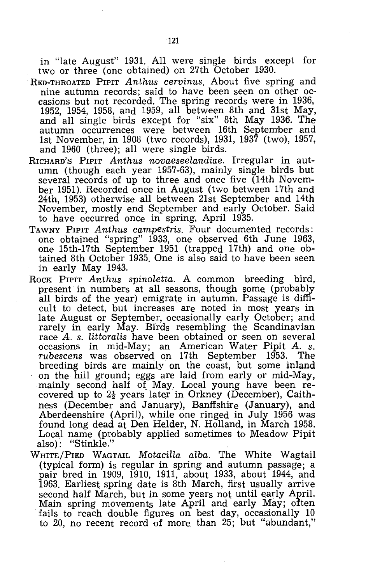in "late August" 1931. All were single birds except for two or three (one obtained) on 27th October 1930.

- . RED-THROATED PIPIT *Anthus cervinus.* About five spring and nine autumn records; said to have been seen on other occasions but not recorded. The spring records were in 1936, 1952, 1954, 1958, and 1959, all between 8th and 31st May, and all single birds except for "six" 8th May 1936. The autumn occurrences were between 16th September and 1st November, in 1908 (two records), 1931, 1937 (two), 1957, and 1960 (three); all were single birds.
- RICHARD'S PIPIT *Anthus novaeseelandiae.* Irregular in autumn (though each year 1957-63), mainly single birds but several records of up to three and once five (14th November 1951). Recorded once in August (two between 17th and 24th, 1953) otherwise all between 21st September and 14th November, mostly end September and early October. Said to have occurred once in spring, April 1935.
- TAWNY PIPIT *Anthus campestris.* Four documented records: one obtained "spring" 1933, one observed 6th June 1963, one 15th-17th September 1951 (trapped 17th) and one obtained 8th October 1935. One is also said to have been seen in early May 1943.
- ROCK PIPIT *Anthus spinoletta*. A common breeding bird, present in numbers at all seasons, though some (probably all birds of the year) emigrate in autumn. Passage is difficult to detect, but increases are noted in most years in late August or September, occasionally early October; and rarely in early May. Birds resembling the Scandinavian race A. *s. littoralis* have been obtained or seen on several occasions in mid-May; an American Water Pipit *A. s. rubescens* was observed on 17th September 1953. The breeding birds are mainly on the coast, but some inland on the hill ground; eggs are laid from early or mid-May, mainly second half of May. Local young have been recovered up to  $2\frac{1}{2}$  years later in Orkney (December), Caithness (December and January), Banffshire (January), and Aberdeenshire (April), while one ringed in July 1956 was found long dead at Den Helder, N. Holland, in March 1958. Local name (probably applied sometimes to Meadow Pipit also): "Stinkle."
- WHITE/PIED WAGTAIL *Motacilla alba.* The White Wagtail (typical form) is regular in spring and autumn passage; a pair bred in 1909, 1910, 1911, about 1933, about 1944, and 1963. Earliest spring date is 8th March, first usually arrive second half March, but in some years not until early April. Main spring movements late April and early May; often fails to reach double figures on best day, occasionally 10 to 20, no recent record of more than 25; but "abundant,"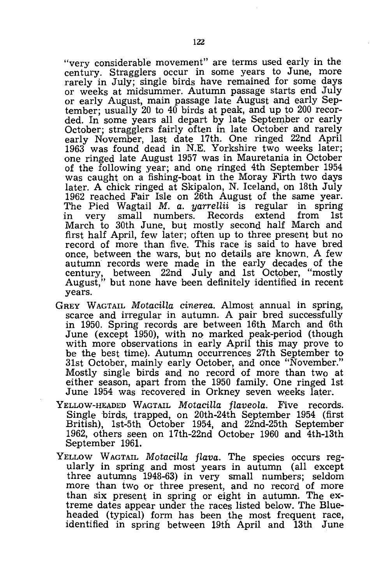"very considerable movement" are terms used early in the century. Stragglers occur in some years to June, more rarely in July; single birds have remained for some days or weeks at midsummer. Autumn passage starts end July or early August, main passage late August and early September; usually 20 to 40 birds at peak, and up to 200 recorded. In some years all depart by late September or early October; stragglers fairly often in late October and rarely early November, last date 17th. One ringed 22nd April 1963 was found dead in N.E. Yorkshire two weeks later; one ringed late August 1957 was in Mauretania in October of the following year; and one ringed 4th September 1954 was caught on a fishing-boat in the Moray Firth two days later. A chick ringed at Skipalon, N. Iceland, on 18th July 1962 reached Fair Isle on 26th August of the same year. The Pied Wagtail *M. a. yarrellii* is regular in spring in very small numbers. Records March to 30th June, but mostly second half March and first half April, few later; often up to three present but no record of more than five. This race is said to have bred once, between the wars, but no details are known. A few autumn records were made in the early decades of the century, between 22nd July and 1st Octoper, "mostly August," but none have been definitely identified in recent years.

- GREY WAGTAIL *Motacilla cinerea*. Almost annual in spring, scarce and irregular in autumn. A pair bred successfully in 1950. Spring records are between 16th March and 6th June (except 1950), with no marked peak-period (though with more observations in early April this may prove to be the best time). Autumn occurrences 27th September to 31st October, mainly early October, and once "November." Mostly single birds and no record of more than two at either season, apart from the 1950 family. One ringed 1st June 1954 was recovered in Orkney seven weeks later.
- YELLOW-HEADED WAGTAIL *Motacilla flaveola.* Five records. Single birds, trapped, on 20th-24th September 1954 (first British), 1st-5th October 1954, and 22nd-25th September 1962, others seen on 17th-22nd October 1960 and 4th-13th September 1961.
- YELLOW WAGTAIL *Motacilla flava*. The species occurs regularly in spring and most years in autumn (all except three autumns 1948-63) in very small numbers; seldom more than two or three present, and no record of more than six present in spring or eight in autumn. The extreme dates appear under the races listed below. The Blueheaded (typical) form has been the most frequent race, identified in spring between 19th April and 13th June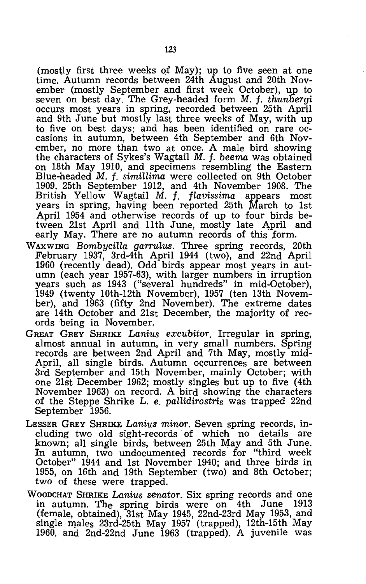(mostly first three weeks of May); up to five seen at one time. Autumn records between 24th August and 20th November (mostly September and first week October), up to seven on best day. The Grey-headed form M. f. *thunbergi*  occurs most years in spring, recorded between 25th April and 9th June but mostly last three weeks of May, with up to five on best days; and has been identified on rare occasions in autumn, between 4th September and 6th November, no more than two at once. A male bird showing the characters of Sykes's Wagtail *M.* f. *beema* was obtained on 18th May 1910, and specimens resembling the Eastern Blue-headed M. f. *simillima* were collected on 9th October 1909, 25th September 1912, and 4th November 1908. The British Yellow Wagtail M. f. *flavissima* appears most years in spring, having been reported 25th March to 1st April 1954 and otherwise records of up to four birds between 21st April and 11th June, mostly late April and early May. There are no autumn records of this form.

- WAXWING *Bombycilla garrulus.* Three spring records, 20th February 1937, 3rd-4th April 1944 (two), and 22nd April 1960 (recently dead). Odd birds appear most years in autumn (each year 1957-63), with larger numbers in irruption years such as 1943 ("several hundreds" in mid-October), 1949 (twenty 10th-12th November), 1957 (ten 13th November), and 1963 (fifty 2nd November). The extreme dates are 14th October and 21st December, the majority of records being in November.
- GREAT GREY SHRIKE *Lanius excubitor.* Irregular in spring, almost annual in autumn, in very small numbers. Spring records are between 2nd April and 7th May, mostly mid-April, all single birds. Autumn occurrences are between 3rd September and 15th November, mainly October; with one 21st December 1962; mostly singles but up to five (4th November 1963) on record. A bird showing the characters of the Steppe Shrike L. e. *pallidirostris* was trapped 22nd September 1956.
- LESSER GREY SHRIKE *Lanius minor.* Seven spring records, including two old sight-records of which no details are known; all single birds, between 25th May and 5th June. In autumn, two undocumented records for "third week October" 1944 and 1st November 1940; and three birds in 1955, on 16th and 19th September (two) and 8th October; two of these were trapped.
- WOODCHAT SHRIKE *Lanius senator.* Six spring records and one in autumn. The spring birds were on 4th June 1913 (female, obtained), 31st May 1945, 22nd-23rd May 1953, and single male<sub>s</sub> 23rd-25th May 1957 (trapped), 12th-15th May 1960, and 2nd-22nd June 1963 (trapped). A juvenile was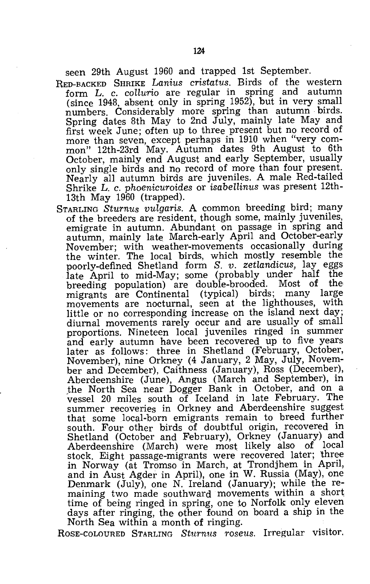seen 29th August 1960 and trapped 1st September.

RED-BACKED SHRIKE *Lanius cristatus*. Birds of the western form L. c. *coUurio* are regular in spring and autumn (since 1948, absent only in spring 1952), but in very small numbers. Considerably more spring than autumn birds. Spring dates 8th May to 2nd July, mainly late May and first week June; often up to three present but no record of more than seven, except perhaps in 1910 when "very common" 12th-23rd May. Autumn dates 9th August to 6th October, mainly end August and early September, usually only single birds and no record of more than four present. Nearly all autumn birds are juveniles. A male Red-tailed Shrike L. c. *phoenicuroides* or *isabellinus* was present 12th-13th May 1960 (trapped).

STARLING *Sturnus vulgaris.* A common breeding bird; many of the breeders are resident, though some, mainly juveniles, emigrate in autumn. Abundant on passage in spring and autumn, mainly late March-early April and October-early November; with weather-movements occasionally during the winter. The local birds, which mostly resemble the poorly-defined Shetland form *S. v. zetlandicus,* lay eggs late April to mid-May; some (probably under half the breeding population) are double-brooded. Most of migrants are Continental (typical) birds; many large movements are nocturnal, seen at the lighthouses, with little or no corresponding increase on the island next day; diurnal movements rarely occur and are usually of small proportions. Nineteen local juveniles ringed in summer and early autumn have been recovered up to five years later as follows: three in Shetland (February, October, November), nine Orkney (4 January, 2 May, July, November and December), Caithness (January), Ross (December), Aberdeenshire (June), Angus (March and September), in .the North Sea near Dogger Bank in October, and on a vessel 20 miles south of Iceland in late February. The summer recoveries in Orkney and Aberdeenshire suggest that some local-born emigrants remain to breed further south. Four other birds of doubtful origin, recovered in Shetland (October and February), Orkney (January) and Aberdeenshire (March) were most likely also of local stock. Eight passage-migrants were recovered later; three in Norway (at Tromso in March, at Trondjhem in April, and in Aust Agder in April), one in W. Russia (May), one Denmark (July), one N. Ireland (January); while the remaining two made southward movements within a short time of being ringed in spring, one to Norfolk only eleven days after ringing, the other found on board a ship in the North Sea within a month of ringing.

ROSE-COLOURED STARLING *Sturnus roseus.* Irregular visitor.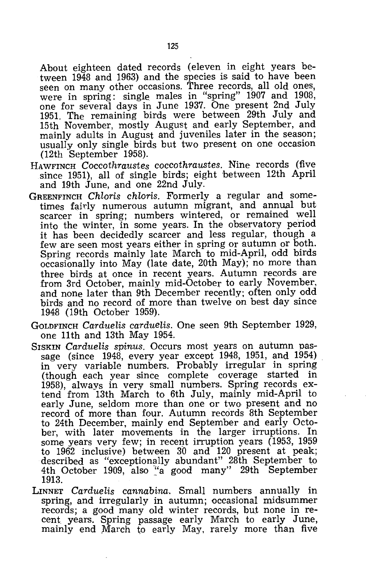About eighteen dated records (eleven in eight years between 1948 and 1963) and the species is said to have been seen on many other occasions. Three records, all old ones, were in spring: single males in "spring" 1907 and 1908, one for several days in June 1937. One present 2nd July 1951. The remaining birds were between 29th July and 15th November, mostly August and early September, and mainly adults in August and juveniles later in the season; usually only single birds but two present on one occasion (12th September 1958).

- HAWFINCH *Coccothraustes coccothraustes.* Nine records (five since 1951), all of single birds; eight between 12th April and 19th June, and one 22nd July.
- GREENFINCH *Chloris chloris.* Formerly a regular and sometimes fairly numerous autumn migrant, and annual but scarcer in spring; numbers wintered, or remained well into the winter, in some years. In the observatory period it has been decidedly scarcer and less regular, though a few are seen most years either in spring or autumn or both. Spring records mainly late March to mid-April, odd birds occasionally into May (late date, 20th May); no more than three birds at once in recent years. Autumn records are from 3rd October, mainly mid-October to early November, and none later than 9th December recently; often only odd birds and no record of more than twelve on best day since 1948 (19th October 1959).
- GOLDFINCH *Car due* lis *carduelis.* One seen 9th September 1929, one 11th and 13th May 1954.
- SISKIN *Carduelis spinus*. Occurs most years on autumn passage (since 1948, every year except 1948, 1951, and 1954) in very variable numbers. Probably irregular in spring (though each year since complete coverage started in 1958), always in very small numbers. Spring records extend from 13th March to 6th July, mainly mid-April to early June, seldom more than one or two present and no record of more than four. Autumn records 8th September to 24th December, mainly end September and early October, with later movements in the larger irruptions. In some years very few; in recent irruption years (1953, 1959 to 1962 inclusive) between 30 and 120 present at peak; described as "exceptionally abundant" 28th September to 4th October 1909, also "a good many" 29th September<br>1913.
- LINNET *Carduelis cannabina.* Small numbers annually in spring, and irregularly in autumn; occasional midsummer records; a good many old winter records, but none in recent. years. Spring passage early March to early June, mainly end March to early May, rarely more than five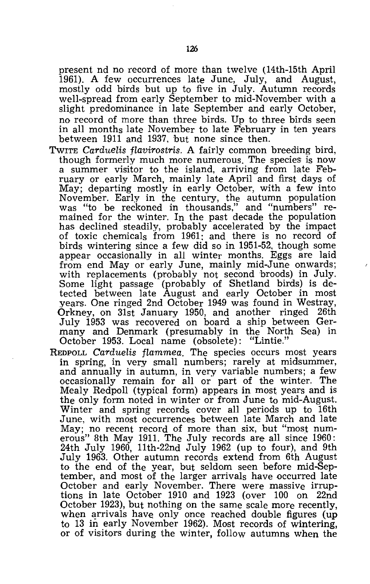present nd no record of more than twelve (14th-15th April 1961). A few occurrences late June, July, and August, mostly odd birds but up to five in July. Autumn records well-spread from early September to mid-November with a slight predominance in late September and early October, no record of more than three birds. Up to three birds seen in all months late November to late February in ten years between 1911 and 1937, but none since then.

- TwITE *Carduelis flavirostris.* A fairly common breeding bird, though formerly much more numerous. The species is now a summer visitor to the island, arriving from late February or early March, mainly late April and first days of May; departing mostly in early October, with a few into November. Early in the century, the autumn population was "to be reckoned in thousands," and "numbers" remained for the winter. In the past decade the population has declined steadily, probably accelerated by the impact of toxic chemicals from 1961: and there is no record of birds wintering since a few did so in 1951-52, though some appear occasionally in all winter months. Eggs are laid from end May or early June, mainly mid-June onwards; with replacements (probably not second broods) in July. Some light passage (probably of Shetland birds) is detected between late August and early October in most years. One ringed 2nd October 1949 was found in Westray, Orkney, on 31st January 1950, and another ringed 26th July 1953 was recovered on board a ship between Germany and Denmark (presumably in the North Sea) in October 1953. Local name (obsolete): "Lintie."
- REDPOLL *Carduelis flammea.* The species occurs most years in spring, in very small numbers; rarely at midsummer, and annually in autumn, in very variable numbers; a few occasionally remain for all or part of the winter. The Mealy Redpoll (typical form) appears in most years and is the only form noted in winter or from June to mid-August. Winter and spring records cover all periods up to 16th June, with most occurrences between late March and late May; no recent record of more than six, but "most numerous" 8th May 1911. The July records are all since 1960: 24th July 1960, llth-22nd July 1962 (up to four), and 9th July 1963. Other autumn records extend from 6th August to the end of the year, but seldom seen before mid-September, and most of the larger arrivals have occurred late October and early November. There were massive irruptions in late October 1910 and 1923 (over 100 on 22nd October 1923), but nothing on the same scale more recently, when arrivals have only once reached double figures (up to 13 in early November 1962). Most records of wintering, or of visitors during the winter, follow autumns when the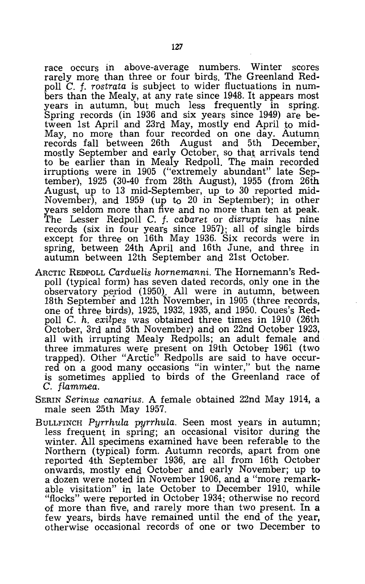race occurs in above-average numbers. Winter scores rarely more than three or four birds. The Greenland Red~ poll C. f. *rostrata* is subject to wider fluctuations in numbers than the Mealy, at any rate since 1948. It appears most years in autumn, but much less frequently in spring. Spring records (in 1936 and six years since 1949) are between 1st April and 23rd May, mostly end April to mid-May, no more than four recorded on one day. Autumn records fall between 26th August and 5th December, mostly September and early October, so that arrivals tend to be earlier than in Mealy Redpoll. The main recorded irruptions were in 1905 ("extremely abundant" late September), 1925 (30-40 from 28th August), 1955 (from 26th August, up to 13 mid-September, up to 30 reported mid-November), and 1959 (up to 20 in September); in other years seldom more than five and no more than ten at peak. The Lesser Redpoll C. f. *cabaret* or *disruptis* has nine records (six in four years since 1957); all of single birds except for three on 16th May 1936. Six records were in spring, between 24th April and 16th June, and three in autumn between 12th September and 21st October.

- ARCTIC REDPOLL *Carduelis hornemanni.* The Hornemann's Redpoll (typical form) has seven dated records, only one in the observatory period (1950). All were in autumn, between 18th September and 12th November, in 1905 (three records, one of three birds), 1925, 1932, 1935, and 1950. Coues's Redpoll C. *h. exilpes* was obtained three times in 1910 (26th October, 3rd and 5th November) and on 22nd October 1923, all with irrupting Mealy Redpolls; an adult female and three immatures were present on 19th October 1961 (two trapped). Other "Arctic" Redpolls are said to have occurred on a good many occasions "in winter," but the name is sometimes applied to birds of the Greenland race of C. *flammea.*
- SERIN *Serinus canarius.* A female obtained 22nd May 1914, a male seen 25th May 1957.
- BULLFINCH *Pyrrhula pyrrhula.* Seen most years in autumn; less frequent in spring; an occasional visitor during the winter. All specimens examined have been referable to the Northern (typical) form. Autumn records, apart from one reported 4th September 1936, are all from 16th October onwards, mostly end October and early November; up to a dozen were noted in November 1906, and a "more remarkable visitation" in late October to December 1910, while "flocks" were reported in October 1934; otherwise no record of more than five, and rarely more than two present. **In** a few years, birds have remained until the end of the year, otherwise occasional records of one or two December to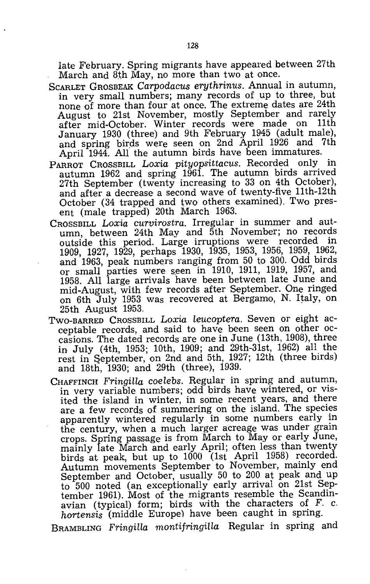late February. Spring migrants have appeared between 27th March and 8th May, no more than two at once.

- SCARLET GROSBEAK *Carpodacus erythrinus.* Annual in autumn, in very small numbers; many records of up to three, but none of more than four at once. The extreme dates are 24th August to 21st November, mostly September and rarely<br>after mid-October, Winter records were made on 11th after mid-October. Winter records were made on January 1930 (three) and 9th February 1945 (adult male), and spring birds were seen on 2nd April 1926 and 7th April 1944. All the autumn birds have been immatures.
- PARROT CROSSBILL *Loxia pityopsittacus.* Recorded only in autumn 1962 and spring 1961. The autumn birds arrived 27th September (twenty increasing to 33 on 4th October), and after a decrease a second wave of twenty-five 11th-12th October (34 trapped and two others examined). Two present (male trapped) 20th March 1963.
- CROSSBILL Loxia *curvirostra.* Irregular in summer and autumn, between 24th May and 5th November; no records outside this period. Large irruptions were recorded in 1909, 1927, 1929, perhaps 1930, 1935, 1953, 1956, 1959, 1962, and 1963, peak numbers ranging from 50 to 300. Odd birds or small parties were seen in  $1910$ , 1911, 1919, 1957, and 1958. All large arrivals have been between late June and mid-August, with few records after September. One ringed on 6th July 1953 was recovered at Bergamo, N. Italy, on 25th August 1953.
- TWO-BARRED CROSSBILL Loxia *leucoptera.* Seven or eight acceptable records, and said to have been seen on other occasions. The dated records are one in June (13th, 1908), three in July (4th, 1953; 10th, 1909; and 29th-31st, 1962) all the rest in September, on 2nd and 5th, 1927; 12th (three birds) and 18th, 1930; and 29th (three), 1939.
- CHAFFINCH *Fringilla coelebs.* Regular in spring and autumn, in very variable numbers; odd birds have wintered, or visited the island in winter, in some recent years, and there are a few records of summering on the island. The species apparently wintered regularly in some numbers early in the century, when a much larger acreage was under grain crops. Spring passage is from March to Mayor early June, mainly late March and early April; often less than twenty birds at peak, but up to 1000 (1st April 1958) recorded. Autumn movements September to November, mainly end September and October, usually 50 to 200 at peak and up to 500 noted (an exceptionally early arrival on 21st September 1961). Most of the migrants resemble the Scandinavian (typical) form; birds with the characters of F. c. *hortensis* (middle Europe) have been caught in spring.

BRAMBLING *Fringilla montifringilla* Regular in spring and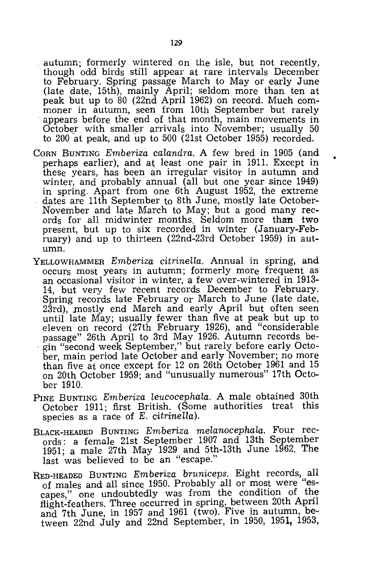autumn; formerly wintered on the isle, but not recently, though odd birds still appear at rare intervals December to February. Spring passage March to Mayor early June (late date, 15th), mainly April; seldom more than ten at peak but up to 80 (22nd April 1962) on record. Much commoner in autumn, seen from 10th September but rarely appears before the end of that month, main movements in October with smaller arrivals into November; usually 50 to 200 at peak, and up to 500 (21st October 1955) recorded.

- CORN BUNTING *Emberiza calandra.* A few bred in 1905 (and perhaps earlier), and at least one pair in 1911. Except in theSe years, has been an irregular visitor in autumn and winter, and probably annual (all but one year since 1949) in spring. Apart from one 6th August 1952, the extreme dates are 11th September to 8th June, mostly late October-November and late March to May; but a good many records for all midwinter months. Seldom more than two present, but up to six recorded in winter (January-February) and up to thirteen (22nd-23rd October 1959) in autumn.
- YELLOWHAMMER *Emberiza citrinella.* Annual in spring, and occurs most years in autumn; formerly more frequent as an occasional visitor in winter, a few over-wintered in 1913- 14, but very few recent records December to February. Spring records late February or March to June (late date, 23rd), mostly end March and early April but often seen until late May; usually fewer than five at peak but up to eleven on record (27th February 1926), and "considerable<br>passage" 26th April to 3rd May 1926. Autumn records begin "second week September," but rarely before early October, main period late October and early November; no more than five at once except for 12 on 26th October 1961 and 15 on 20th October 1959; and "unusually numerous" 17th October 1910.
- PINE BUNTING *Emberiza leucocephala.* A male obtained 30th October 1911; first British. (Some authorities treat this species as a race of *E*. citrinella).
- BLACK-HEADED BUNTING *Emberiza melanocephala.* Four records: a female 21st September 1907 and 13th September 1951; a male 27th May 1929 and 5th-13th June 1962. The ACK-HEADED BUNTING *Emberiza metano*<br>ords: a female 21st September 1907 a<br>1951; a male 27th May 1929 and 5th-1:<br>last was believed to be an "escape."
- RED-HEADED BUNTING *Emberiza bruniceps.* Eight records, all of males and all since 1950. Probably all or most were capes," one undoubtedly was from the condition of the flight-feathers. Three occurred in spring, between 20th April and 7th June, in 1957 and 1961 (two). Five in autumn, between 22nd July and 22nd September, in 1950, 1951, 1953,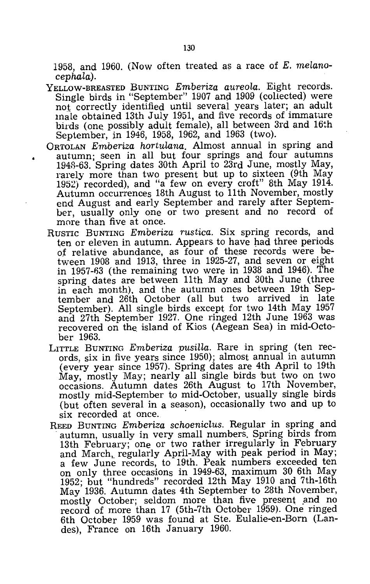1958, and 1960. (Now often treated as a race of *E. melanocephala).* 

- YELLOW-BREASTED BUNTING *Emberiza aureola*. Eight records. Single birds in "September" 1907 and 1909 (collected) were not correctly identified until several years later; an adult male obtained 13th July 1951, and five records of immature birds (one possibly adult female), all between 3rd and 16th September, in 1946, 1958, 1962, and 1963 (two).
- ORTOLAN *Emberiza hortulana*. Almost annual in spring and autumn; seen in all but four springs and four autumns 1948-63. Spring dates 30th April to  $2\tilde{3}$ rd June, mostly May, rarely more than two present but up to sixteen (9th May 1952) recorded), and "a few on every croft" 8th May 1914. Autumn occurrences 18th August to 11th November, mostly end August and early September and rarely after September, usually only one or two present and no record of more than five at once.
- RUSTIC BUNTING *Emberiza rustica.* Six spring records, and ten or eleven in autumn. Appears to have had three periods of relative abundance, as four of these records were between 1908 and 1913, three in 1925-27, and seven or eight in 1957-63 (the remaining two were in 1938 and 1946). The spring dates are between 11th May and 30th June (three in each month), and the autumn ones between 19th September and 26th October (all but two arrived in late September). All single birds except for two 14th May 1957 and 27th September 1927. One ringed 12th June 1963 was recovered on the island of Kios (Aegean Sea) in mid-October 1963.
- LITTLE BUNTING *Emberiza pusilla*. Rare in spring (ten records, six in five years since 1950); almost annual in autumn (every year since 1957). Spring dates are 4th April to 19th May, mostly May; nearly all single birds but two on two occasions. Autumn dates 26th August to 17th November, mostly mid-September to mid-October, usually single birds (but often several in a season), occasionally two and up to six recorded at once.
- REED BUNTING *Emberiza schoenicLus.* Regular in spring and . autumn, usually in very small numbers. Spring birds from 13th February; one or two rather irregularly in February and March, regularly April-May with peak period in May; a few June records, to 19th. Peak numbers exceeded ten on only three occasions in 1949-63, maximum 30 6th May 1952; but "hundreds" recorded 12th May 1910 and 7th-16th May 1936. Autumn dates 4th September to 28th November, mostly October; seldom more than five present and no record of more than 17 (5th-7th October 1959). One ringed 6th October 1959 was found at Ste. Eulalie-en-Born (Landes), France on 16th January 1960.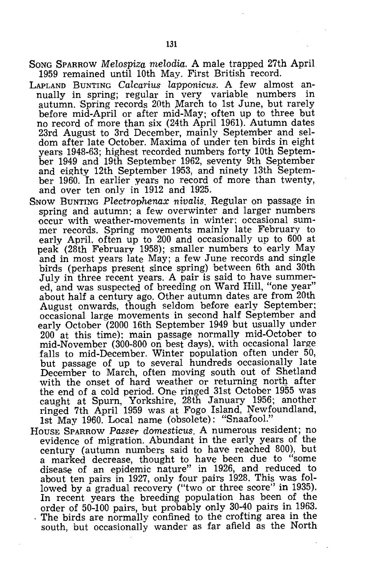- SONG SPARROW *Melospiza rnelodia.* A male trapped 27th April 1959 remained until 10th May. First British record.
- LAPLAND BUNTING *Calcarius lapponicus*. A few almost annually in spring; regular in very variable numbers in autumn. Spring records 20th March to 1st June, but rarely before mid-April or after mid-May; often up to three but no record of more than six (24th April 1961). Autumn dates 23rd August to 3rd December, mainly September and seldom after late October. Maxima of under ten birds in eight years 1948-63; highest recorded numbers forty 10th September 1949 and 19th September 1962, seventy 9th September and eighty 12th September 1953, and ninety 13th September 1960. In earlier years no record of more than twenty, and over ten only in 1912 and 1925.
- SNOW BUNTING *Plectrophenax nivalis.* Regular on passage in spring and autumn; a few overwinter and larger numbers occur with weather-movements in winter; occasional summer records. Spring movements mainly late February to early April, often up to 200 and occasionally up to 600 at peak (28th February 1958); smaller numbers to early May and in most years late May; a few June records and single birds (perhaps present since spring) between 6th and 30th July in three recent years. A pair is said to have summered, and was suspected of breeding on Ward Hill, "one year" about half a century ago. Other autumn dates are from 20th August onwards, though seldom before early September; occasional large movements in second half September and early October (2000 16th September 1949 but usually under 200 at this time); main passage normally mid-October to mid-November (300-800 on best days). with occasional large falls to mid-December. Winter population often under 50, but passage of up to several hundreds occasionally late December to March, often moving south out of Shetland with the onset of hard weather or returning north after the end of a cold period. One ringed 31st October 1955 was caught at Spurn, Yorkshire, 28th January 1956; another ringed 7th April 1959 was at Fogo Island, Newfoundland, 1st May 1960. Local name (obsolete): "Snaafool."
- HOUSE SPARROW *Passer domesticus.* A numerous resident; no evidence of migration. Abundant in the early years of the century (autumn numbers said to have reached 800), but a marked decrease, thought to have been due to "some disease of an epidemic nature" in 1926, and reduced to about ten pairs in 1927, only four pairs 1928. This was followed by a gradual recovery ("two or three score" in 1935). In recent years the breeding population has been of the order of 50-100 pairs, but probably only 30-40 pairs in 1963. . The birds are normally confined to the crofting area in the south, but occasionally wander as far afield as the North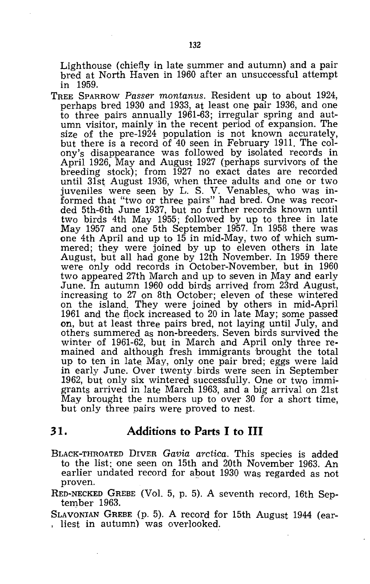Lighthouse (chiefly in late summer and autumn) and a pair bred at North Haven in 1960 after an unsuccessful attempt in 1959.

TREE SPARROW *Passer montanus.* Resident up to about 1924, perhaps bred 1930 and 1933, at least one pair 1936, and one to three pairs annually 1961-63; irregular spring and autumn visitor, mainly in the recent period of expansion. The size of the pre-1924 population is not known accurately, but there is a record of 40 seen in February 1911. The colony's disappearance was followed by isolated records in April 1926, May and August 1927 (perhaps survivors of the breeding stock); from 1927 no exact dates are recorded until 31st August 1936, when three adults and one or two juveniles were seen by L. S. V. Venables, who was informed that "two or three pairs" had bred. One was recorded 5th-6th June 1937, but no further records known until two birds 4th May 1955; followed by up to three in late May 1957 and one 5th September 1957. In 1958 there was one 4th April and up to 15 in mid-May, two of which summered; they were joined by up to eleven others in late August, but all had gone by 12th November. In 1959 there were only odd records in October-November, but in 1960 two appeared 27th March and up to seven in May and early June. In autumn 1960 odd birds arrived from 23rd August, increasing to 27 on 8th October; eleven of these wintered on the island. They were joined by others in mid-April 1961 and the flock increased to 20 in late May; some passed on, but at least three pairs bred, not laying until July, and others summered as non-breeders. Seven birds survived the winter of 1961-62, but in March and April only three remained and although fresh immigrants brought the total up to ten in late May, only one pair bred; eggs were laid in early June. Over twenty birds were seen in September 1962, but only six wintered successfully. One or two immigrants arrived in late March 1963, and a big arrival on 21st May brought the numbers up to over 30 for a short time, but only three pairs were proved to nest.

#### **31. Additions to Parts I to III**

BLACK-THROATED DIVER *Gavia arctica.* This species is added to the list; one seen on 15th and 20th November 1963. An earlier undated record for about 1930 was regarded as not proven.

RED-NECKED GREBE (Vol. 5, p. 5). A seventh record, 16th September 1963.

SLAVONIAN GREBE (p. 5). A record for 15th August 1944 (ear-<br>, liest in autumn) was overlooked.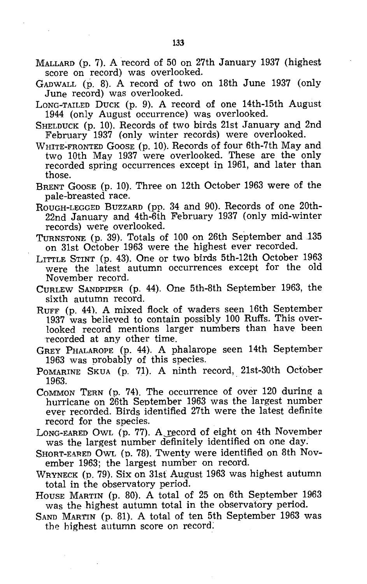- MALLARD (p. 7). A record of 50 on 27th January 1937 (highest score on record) was overlooked.
- GADWALL (p. 8). A record of two on 18th June 1937 (only June record) was overlooked.
- LONG-TAILED DUCK (p. 9). A record of one 14th-15th August 1944 (only August occurrence) was overlooked.
- SHELDUCK (p. 10). Records of two birds 21st January and 2nd February 1937 (only winter records) were overlooked.
- WHITE-FRONTED GOOSE (p. 10). Records of four 6th-7th May and two 10th May 1937 were overlooked. These are the only recorded spring occurrences except in 1961, and later than those.
- BRENT GOOSE (p. 10). Three on 12th October 1963 were of the pale-breasted race.
- ROUGH-LEGGED BUZZARD (pp. 34 and 90). Records of one 20th-22nd January and 4th-6th February 1937 (only mid-winter records) were overlooked.
- TURNSTONE (p. 39). Totals of 100 on 26th September and 135 on 31st October 1963 were the highest ever recorded.
- LITTLE STINT (p. 43). One or two birds 5th-12th October 1963 were the latest autumn occurrences except for the old November record.
- CURLEW SANDPIPER (p. 44). One 5th-8th September 1963, the sixth autumn record.
- RUFF (p. 44). A mixed flock of waders seen 16th September 1937 was believed to contain possibly 100 Ruffs. This overlooked record mentions larger numbers than have been recorded at any other time.
- GREY PHALAROPE (p. 44). A phalarope seen 14th September 1963 was probably of this species.
- POMARINE SKUA (p. 71). A ninth record, 21st-30th October 1963.  $1963.$  . The contract of  $\sim$  1963.
- COMMON TERN (p. 74). The occurrence of over 120 during a hurricane on 26th September 1963 was the largest number ever recorded. Birds identified 27th were the latest definite record for the species.
- LONG-EARED OWL (p. 77). A record of eight on 4th November waS the largest number definitely identified on one day.
- SHORT-EARED OWL (p. 78). Twenty were identified on 8th November 1963; the largest number on record.
- WRYNECK (p. 79). Six on 31st August 1963 was highest autumn total in the observatory period.
- HOUSE MARTIN (p. 80). A total of 25 on 6th September 1963 was the highest autumn total in the observatory period.
- SAND MARTIN (p. 81). A total of ten 5th September 1963 was the highest autumn score on record: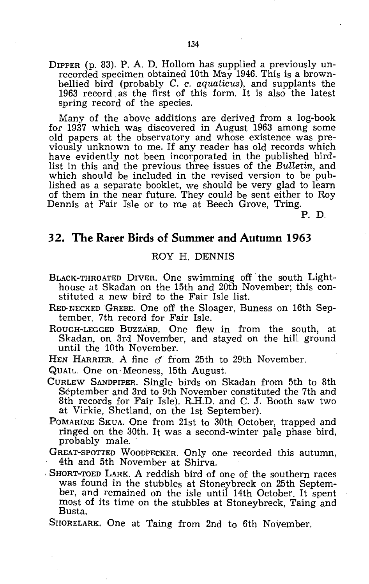DIPPER (p. 83). P. A. D. Hollom has. supplied a previously unrecorded specimen obtained 10th May 1946. This is a brownbellied bird (probably C. c. *aquaticus),* and supplants the 1963 record. as the first of this form. It is also the latest spring record of the species.

Many of the above additions are derived from a log-hook for 1937 which was discovered in August 1963 among some old papers at the observatory and whose existence was previously unknown to me. If any reader has old records which have evidently not been incorporated in the published birdlist in this and the previous three issues of the *Bulletin,* and which should be included in the revised version to be published as a separate booklet, we should be very glad to learn of them in the near future. They could be sent either to Roy Dennis at Fair Isle or to me at Beech Grove, Tring.

P. D.

### **32. The Rarer Birds of Summer and Autumn 1963**

#### ROY H. DENNIS

- BLACK-THROATED DIVER. One swimming off' the south Lighthouse at Skadan on the 15th and 20th November; this constituted a new bird to the Fair Isle list.
- RED' NECKED GREBE. One off the Sloager, Buness on 16th September. 7th record for Fair Isle.
- ROUGH-LEGGED BUZZARD. One flew in from the south, at Skadan, on 3rd November, and stayed on the hill ground until the 10th November.
- HEN HARRIER. A fine  $\sigma$  from 25th to 29th November.
- QUAIL. One on· Meoness, 15th August.
- CURLEW SANDPIPER. Single birds on Skadan from 5th to 8th September and 3rd to 9th November constituted the 7th and 8th records for Fair Isle). R.H.D. and C. J. Booth saw two at Virkie, Shetland, on the 1st September).
- POMARINE SKUA. One from 21st to 30th October, trapped and ringed on the 30th. It was a second-winter pale phase bird, probably male.
- GREAT-SPOTTED WOODPECKER. Only one recorded this autumn, 4th and 5th November at Shirva.
- . SHORT-TOED LARK. A reddish bird of one of the southern races was found in the stubbles at Stoneybreck on 25th September, and remained on the isle until 14th October. It spent most of its time on the stubbles at Stoneybreck, Taing and Busta.
- SHORELARK. One at Taing from 2nd to 6th November.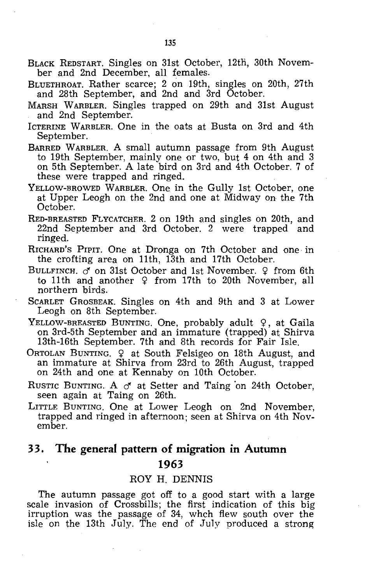- BLACK REDSTART. Singles on 31st October, 12th, 30th November and 2nd December, all females.
- BLUETHROAT. Rather scarce; 2 on 19th, singles on 20th, 27th and 28th September, and 2nd and 3rd October.
- MARSH WARBLER. Singles trapped on 29th and 31st August and 2nd September.
- ICTERINE WARBLER. One in the oats at Busta on 3rd and 4th September.
- BARRED WARBLER. A small autumn passage from 9th August to 19th September, mainly one or two, but 4 on 4th and 3 on 5th September. A late bird on 3rd and 4th October. 7 of these were trapped and ringed.
- YELLOW-BROWED WARBLER. One in the Gully 1st October, one at Upper Leogh on the 2nd and one at Midway on the 7th October.
- RED-BREASTED FLYCATCHER. 2 on 19th and singles on 20th, and 22nd September and 3rd October. 2 were trapped and ringed.
- RICHARD'S PIPIT. One at Dronga on 7th October and one· in the crofting area on 11th, 13th and 17th October.
- BULLFINCH. *d* on 31st October and 1st November. 9 from 6th to 11th and another  $9$  from 17th to 20th November, all northern birds.
- ScARLET GROSBEAK. Singles on 4th and 9th and 3 at Lower Leogh on 8th September.
- YELLOW-BREASTED BUNTING. One, probably adult 9, at Gaila on 3rd-5th September and an immature (trapped) at Shirva 13th-16th September. 7th and 8th records for Fair Isle.
- ORTOLAN BUNTING.  $\frac{Q}{I}$  at South Felsigeo on 18th August, and an immature at Shirva from 23rd to 26th August, trapped on 24th and one at Kennaby on 10th October.
- RUSTIC BUNTING. A *d'* at Setter and Taing 'on 24th October, seen again at Taing on 26th.
- LITTLE BUNTING. One at Lower Leogh on 2nd November, trapped and ringed in afternoon; seen at Shirva on 4th November.

# 33. **The general pattern of migration in Autumn 1963**

#### ROY H. DENNIS

The autumn passage got off to a good start with a large scale invasion of Crossbills; the first indication of this big irruption was the passage of 34, whch flew south over the isle on the 13th July. The end of July produced a strong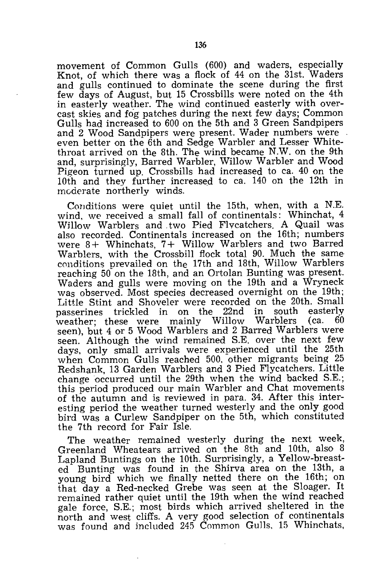movement of Common Gulls (600) and waders, especially Knot, of which there was a flock of 44 on the 31st. Waders and gulls continued to dominate the scene during the first few days of August, but 15 Crossbills were noted on the 4th in easterly weather. The wind continued easterly with overcast skies and fog patches during the next few days; Common Gulls had increased to 600 on the 5th and 3 Green Sandpipers and 2 Wood Sandpipers were present. Wader numbers were even better on the 6th and Sedge Warbler and Lesser Whitethroat arrived on the 8th. The wind became N.W. on the 9th and, surprisingly, Barred Warbler, Willow Warbler and Wood Pigeon turned up. Crossbills had increased to ca. 40 on the 10th and they further increased to ca. 140 on the 12th in mGderate northerly winds.

Conditions were quiet until the 15th, when, with a N.E. wind, we received a small fall of continentals: Whinchat, 4 Willow Warblers and. two Pied Flvcatchers. A Quail was also recorded. Continentals increased on the 16th; numbers were 8+ Whinchats, 7+ Willow Warblers and two Barred Warblers, with the Crossbill flock total 90. Much the same conditions prevailed on the 17th and 18th, Willow Warblers reaching 50 on the 18th, and an Ortolan Bunting was present. Waders and gulls were moving on the 19th and a Wryneck was observed. Most species decreased overnight on the 19th; Little Stint and Shoveler were recorded on the 20th. Small passerines trickled in on the 22nd in south easterly in on the 22nd in south easterly<br>e mainly Willow Warblers (ca. 60 weather; these were mainly seen), but 4 or 5 Wood Warblers and 2 Barred Warblers were seen. Although the wind remained S.E. over the next few days, only small arrivals were experienced until the 25th when Common Gulls reached 500, other migrants being 25 Redshank, 13 Garden Warblers and 3 Pied Flycatchers. Little change occurred until the 29th when the wind backed S.E.; this period produced our main Warbler and Chat movements of the autumn and is reviewed in para. 34. After this interesting period the weather turned westerly and the only good bird was a Curlew Sandpiper on the 5th, which constituted the 7th record for Fair Isle.

The weather remained westerly during the next week, Greenland Wheatears arrived on the 8th and 10th, also 8 Lapland Buntings on the 10th. Surprisingly, a Yellow-breasted Bunting was found in the Shirva area on the 13th, a young bird which we finally netted there on the 16th; on that day a Red-necked Grebe was seen at the Sloager. It remained rather quiet until the 19th when the wind reached gale force, S.E.; most birds which arrived sheltered in the north and west cliffs. A very good selection of continentals was found and included 245 Common Gulls. 15 Whinchats,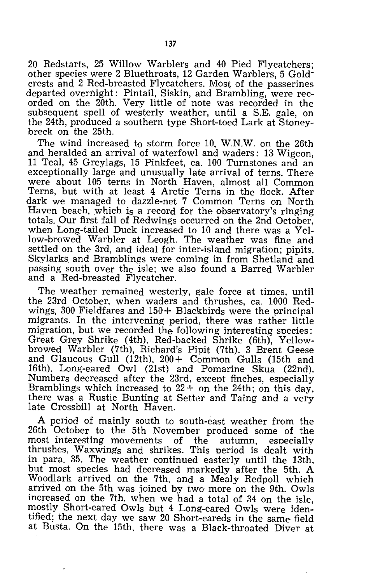20 Redstarts, 25 Willow Warblers and 40 Pied Flycatchers; other species were 2 Bluethroats, 12 Garden Warblers, 5 Goldcrests and 2 Red-breasted Flycatchers. Most of the passerines departed overnight: Pintail, Siskin, and Brambling, were recorded on the 20th. Very little of note was recorded in the subsequent spell of westerly weather, until a S.E. gale, on the 24th, produced a southern type Short-toed Lark at Stoneybreck on the 25th.

The wind increased to storm force 10, W.N.W. on the 26th and heralded an arrival of waterfowl and waders: 13 Wigeon, 11 Teal, 45 Greylags, 15 Pinkfeet, ca. 100 Turnstones and an exceptionally large and unusually late arrival of terns. There were about 105 terns in North Haven, almost all Common Terns, but with at least 4 Arctic Terns in the flock. After dark we managed to dazzle-net 7 Common Terns on North Haven beach, which is a record for the observatory's ringing totals. Our first fall of Redwings occurred on the 2nd October, when Long-tailed Duck increased to 10 and there was a Yellow-browed Warbler at Leogh. The weather was fine and settled on the 3rd, and ideal for inter-island migration; pipits, Skylarks and Bramblings were coming in from Shetland and passing south OVer the isle; we also found a Barred Warbler and a Red-breasted Flycatcher.

The weather remained westerly, gale force at times, until the 23rd October, when waders and thrushes, ca. 1000 Redwings, 300 Fieldfares and 150+ Blackbirds were the principal migrants. In the intervening period, there was rather little migration, but we recorded the following interesting snecies: Great Grey Shrike (4th), Red-backed Shrike (6th), Yellowbrowed Warbler (7th), Richard's Pipit (7th). 3 Brent Geese and Glaucous Gull (12th), 200 + Common Gulls (15th and 16th). Long-eared Owl (21st) and Pomarine Skua (22nd). Numbers decreased after the 23rd, except finches, especially Bramblings which increased to  $22+$  on the 24th; on this day, there was a Rustic Bunting at Setter and Taing and a very late CrossbiIl at North Haven.

A period of mainly south to south-east weather from the 26th October to the 5th November produced some of the most interesting movements of the autumn, especially most interesting movements thrushes, Waxwings and shrikes. This period is dealt with in para. 35. The weather continued easterly until the 13th, but most species had decreased markedly after the 5th. A Woodlark arrived on the 7th, and a Mealy Redpoll which arrived on the 5th was joined by two more on the 9th. Owls increased on the 7th, when we had a total of 34 on the isle, mostly Short-eared Owls but 4 Long-eared Owls were identified; the next day we saw 20 Short-eareds in the same field at Busta. On the 15th, there was a Black-throated Diver at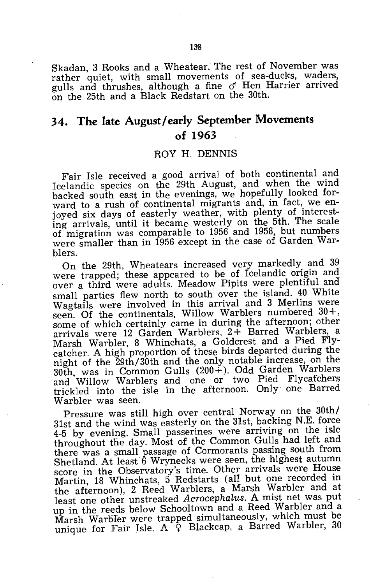Skadan, 3 Rooks and a Wheatear.' The rest of November was rather quiet, with small movements of sea-ducks, waders, gulls and thrushes, although a fine  $\sigma$  Hen Harrier arrived on the 25th and a Black Redstart on the 30th.

## **34. The late August/early September Movements of 1963**

#### ROY H. DENNIS

Fair Isle received a good arrival of both continental and Icelandic species on the 29th August, and when the wind backed south east in the evenings, We hopefully looked forward to a rush of continental migrants and, in fact, we enjoyed six days of easterly weather, with plenty of interesting arrivals, until it became westerly on the 5th. The scale of' migration was comparable to 1956 and 1958, but numbers were smaller than in 1956 except in the case of Garden Warblers.

On the 29th, Wheatears increased very markedly and 39 were trapped; these appeared to be of Icelandic origin and over a third were adults. Meadow Pipits were plentiful and small parties flew north to south over the island. 40 White Wagtails were involved in this arrival and 3 Merlins were seen. Of the continentals, Willow Warblers numbered  $30+,$ some of which certainly came in during the afternoon; other arrivals were 12 Garden Warblers,  $2+$  Barred Warblers, a Marsh Warbler, 8 Whinchats, a Goldcrest and a Pied Flycatcher. A high proportion of these birds departed during the night of the 29th/30th and the only notable increase, on the 30th, was in Common Gulls  $(200 +)$ . Odd Garden Warblers and Willow Warblers and one or two Pied Flycatchers trickled into the isle in the afternoon. Only' one Barred Warbler was seen.

Pressure was still high over central Norway on the 30th/ 31st and the wind was easterly on the 31st, backing N.E. force 4-5 by evening. Small passerines were arriving on the isle throughout tne day. Most of the Common Gulls had left and there was a small passage of Cormorants passing south from Shetland. At least 6 Wrynecks were seen, the highest autumn score in the Observatory's time. Other arrivals were House Martin, 18 Whinchats, 5 Redstarts (all but one recorded in the afternoon), 2 Reed Warblers, a Marsh Warbler and at least one other unstreaked *Acrocephalus.* A mist net was put up in the reeds below Schooltown and a Reed Warbler and a Marsh Warbler were trapped simultaneously, which must be unique for Fair Isle. A  $\varphi$  Blackcap, a Barred Warbler, 30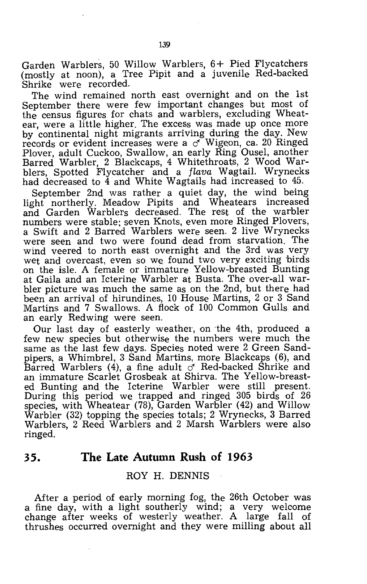Garden Warblers, 50 Willow Warblers, 6+ Pied Flycatchers (mostly at noon), a Tree Pipit and a juvenile Red-backed Shrike were recorded.

The wind remained north east overnight and on the 1st September there were few important changes but most of the census figures for chats and warblers, excluding Wheatear, were a little higher. The excess was made up once more by continental night migrants arriving during the day. New records or evident increases were a  $\sigma$  Wigeon, ca. 20 Ringed Plover, adult Cuckoo, Swallow, an early Ring Ousel, another Barred Warbler, 2 Blackcaps, 4 Whitethroats, 2 Wood Warblers, Spotted Flycatcher and a *flava* Wagtail. Wrynecks had decreased to 4 and White Wagtails had increased to 45.

September 2nd was rather a quiet day, the wind being light northerly. Meadow Pipits and Wheatears increased and Garden Warblers decreased. The rest of the warbler numbers were stable; seven Knots, even more Ringed Plovers, a Swift and 2 Barred Warblers were seen. 2 live Wrynecks were seen and two were found dead from starvation. The wind veered to north east overnight and the 3rd was very wet and overcast, even so we found two very exciting 'birds on the isle. A female or immature Yellow-breasted Bunting at Gaila and an Icterine Warbler at Busta. The over-all warbler picture was much the same as on the 2nd, but there had been an arrival of hirundines, 10 House Martins, 2 or 3 Sand Martins and 7 Swallows. A flock of 100 Common Gulls and an early Redwing were seen.

Our last day of easterly weather, on the 4th, produced a few new species but otherwise the numbers were much the same as the last few days. Species noted were 2 Green Sandpipers, a Whimbrel, 3 Sand Martins, more Blackcaps (6), and Barred Warblers (4), a fine adult  $\sigma$  Red-backed Shrike and an immature Scarlet Grosbeak at Shirva. The Yellow-breasted Bunting and the Icterine Warbler were still present. During this period we trapped and ringed 305 birds of 26 species, with Wheatear (78), Garden Warbler (42) and Willow Warbler (32) topping the species totals; 2 Wrynecks, 3 Barred Warblers, 2 Reed Warblers and 2 Marsh Warblers were also ringed.

#### **35. The Late Autumn Rush of 1963**

#### ROY H. DENNIS

After a period of early morning fog, the 26th October was a fine day, with a light southerly wind; a very welcome change after weeks of westerly weather. A large fall of thrushes occurred overnight and they were milling about all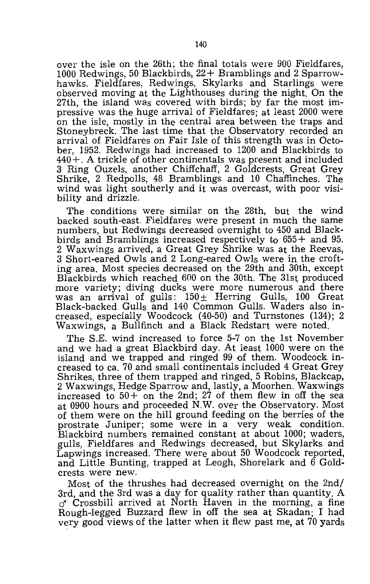over the isle on the 26th; the final totals were 900 Fieldfares, 1000 Redwings, 50 Blackbirds, 22+ Bramblings and 2 Sparrowhawks. Fieldfares, Redwings, Skylarks and Starlings were observed moving at the Lighthouses during the night. On the 27th, the island was covered with birds; by far the most impressive was the huge arrival of Fieldfares; at least 2000 were on the isle, mostly in the central area between the traps and Stoneybreck. The last time that the Observatory recorded an arrival of Fieldfares on Fair Isle of this strength was in October, 1952. Redwings had increased to 1200 and Blackbirds to  $440 +$ . A trickle of other continentals was present and included 3 Ring Ouzels, another Chiffchaff, 2 Goldcrests, Great Grey Shrike, 2 Redpolls, 48 Bramblings and 10 Chaffinches. The wind was light southerly and it was overcast, with poor visibility and drizzle.

The conditions were similar on the 28th, but the wind backed south-east. Fieldfares were present in much the same numbers, but Redwings decreased overnight to 450 and Blackbirds and Bramblings increased respectively to  $655 +$  and 95. 2 Waxwings arrived, a Great Grey Shrike was at the Reevas, 3 Short-eared Owls and 2 Long-eared Owls were in the crofting area. Most species decreased on the 29th and 30th, except Blackbirds which reached 600 on the 30th. The 31st produced more variety; diving ducks were more numerous and there was an arrival of gulls:  $150 \pm$  Herring Gulls, 100 Great Black-backed Gulls and 140 Common Gulls. Waders also increased, especially Woodcock (40-50) and Turnstones (134); 2 Waxwings, a Bullfinch and a Black Redstart were noted.

The S.E. wind increased to force 5-7 on the 1st November and we had a great Blackbird day. At least 1000 were on the island and we trapped and ringed 99 of them. Woodcock increased to ca. 70 and small continentals included 4 Great Grey Shrikes, three of them trapped and ringed, 5 Robins, Blackcap, 2 Waxwings, Hedge Sparrow and, lastly, a Moorhen. Waxwings increased to  $50+$  on the 2nd; 27 of them flew in off the sea at 0900 hours and proceeded N,W. over the Observatory. Most of them were on the hill ground feeding on the berries of the prostrate Juniper; some were in a very weak condition. Blackbird numbers remained constant at about 1000; waders, gulls, Fieldfares and Redwings decreased, but Skylarks and Lapwings increased. There were about 50 Woodcock reported, and Little Bunting, trapped at Leogh, Shorelark and  $\ddot{\text{o}}$  Goldcrests were new.

Most of the thrushes had decreased overnight on the 2nd/ 3rd, and the 3rd was a day for quality rather than quantity. A  $\sigma$ <sup>r</sup> Crossbill arrived at North Haven in the morning, a fine Rough-legged Buzzard flew in off the sea at Skadan; I had very good views of the latter when it flew past me, at 70 yards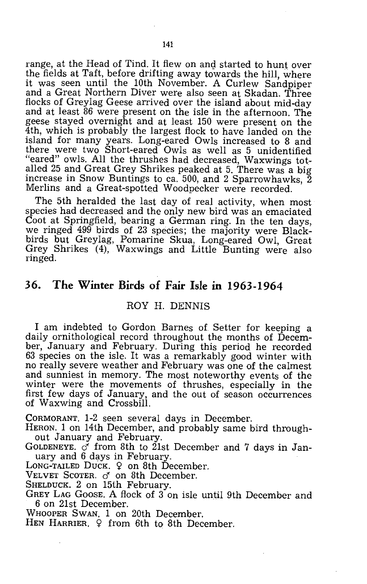range, at the Head of Tind. It flew on and started to hunt over the fields at Taft, before drifting away towards the hill, where it was seen until the 10th November. A Curlew Sandpiper and a Great Northern Diver were also seen at Skadan. Three flocks of Greylag Geese arrived over the island about mid-day and at least 86 were present on the isle in the afternoon. The geese stayed overnight and at least 150 were present on the 4th, which is probably the largest flock to have landed on the island for many years. Long-eared Owls increased to 8 and there were two Short-eared Owls as well as 5 unidentified "eared" owls. All the thrushes had decreased, Waxwings totalled 25 and Great Grey Shrikes peaked at 5. There was a big increase in Snow Buntings to ca. 500, and 2 Sparrowhawks, 2 Merlins and a Great-spotted Woodpecker were recorded.

The 5th heralded the last day of real activity, when most species had decreased and the only new bird was an emaciated Coot at Springfield, bearing a German ring. In the ten days, we ringed 499 birds of 23 species; the majority were Blackbirds but Greylag, Pomarine Skua, Long-eared Owl, Great Grey Shrikes (4), Waxwings and Little Bunting were also ringed.

#### **36. The Winter Birds of Fair Isle in 1963-1964**

#### ROY H. DENNIS

I am indebted to Gordon Barnes of Setter for keeping a daily ornithological record throughout the months of December, January and February. During this period he recorded 63 species on the isle. It was a remarkably good winter with no really severe weather and February was one of the calmest and sunniest in memory. The most noteworthy events of the winter were the movements of thrushes, especially in the first few days of January, and the out of season occurrences of Waxwing and Crossbill.

CORMORANT. 1-2 seen several days in December.

- HERON. 1 on 14th December, and probably same bird throughout January and February.
- GOLDENEYE.  $\check{\mathcal{O}}$  from 8th to 21st December and 7 days in January and 6 days in February.

LONG-TAILED DUCK.  $\varphi$  on 8th December.

VELVET SCOTER. *d'* on 8th December.

SHELDUCK. 2 on 15th February.

GREY LAG GOOSE. A flock of 3 on isle until 9th December and 6 on 21st December.

WHOOPER SWAN. 1 on 20th December.

HEN HARRIER. 9 from 6th to 8th December.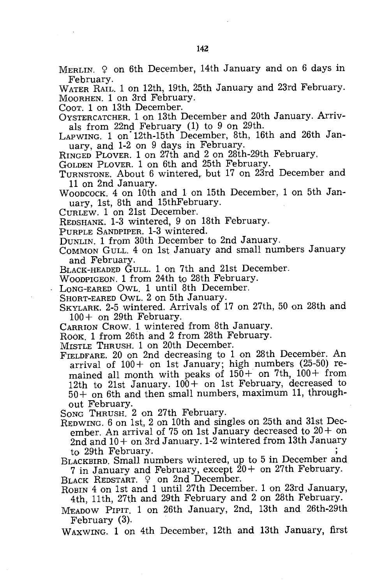MERLIN.  $9$  on 6th December, 14th January and on 6 days in February.

WATER RAIL. 1 on 12th, 19th, 25th January and 23rd February. MOORHEN. 1 on 3rd February.

COOT. 1 on 13th December.

OYSTERCATCHER. 1 on 13th December and 20th January. Arrivals from 22nd February (1) to 9 on 29th.

LAPWING. 1 on 12th-15th December, 8th, 16th and 26th January, and 1-2 on 9 days in February.

RINGED PLOVER. 1 on 27th and 2 on 28th-29th February,

GOLDEN PLOVER. 1 on 6th and 25th February.

TURNSTONE. About 6 wintered, but 17 on 23rd December and 11 on 2nd January.

WOODCOCK. 4 on 10th and 1 on 15th December, 1 on 5th January, 1st, 8th and 15thFebruary.

CURLEW. 1 on 21st December.

REDSHANK. 1-3 wintered, 9 on 18th February.

PURPLE SANDPIPER. 1-3 wintered.

DUNLIN. 1 from 30th December to 2nd January.

COMMON GULL. 4 on 1st January and small numbers January and February.

BLACK-HEADED GULL. 1 on 7th and 21st December.

WOODPIGEON. 1 from 24th to 28th February.

LONG-EARED OWL. 1 until 8th December.

SHORT-EARED OWL. 2 on 5th January.

SKYLARK. 2-5 wintered. Arrivals of 17 on 27th, 50 on 28th and 100+ on 29th February.

CARRION CROW. 1 wintered from 8th January.

ROOK 1 from 26th and 2 from 28th February.

MISTLE THRUSH. 1 on 20th December.

FIELDFARE. 20 on 2nd decreasing to 1 on 28th December. An arrival of 100+ on 1st January; high numbers (25-50) remained all month with peaks of  $150 +$  on 7th,  $100 +$  from 12th to 21st January.  $100+$  on 1st February, decreased to 50+ on 6th and then small numbers, maximum 11, throughout February.

SONG THRUSH. 2 on 27th February.

REDWING. 6 on 1st, 2 on 10th and singles on 25th and 31st December. An arrival of 75 on 1st January decreased to  $20+$  on 2nd and 10+ on 3rd January. 1-2 wintered from 13th January to 29th February.

BLACKBIRD. Small numbers wintered, up to 5 in December and 7 in January and February, except 20+ on 27th February.

BLACK REDSTART. 9 on 2nd December.

ROBIN 4 on 1st and 1 until 27th December. 1 on 23rd January, 4th, 11th, 27th and 29th February and 2 on 28th February.

MEADOW PIPIT. 1 on 26th January, 2nd, 13th and 26th-29th February (3).

WAXWING. 1 on 4th December, 12th and 13th January, first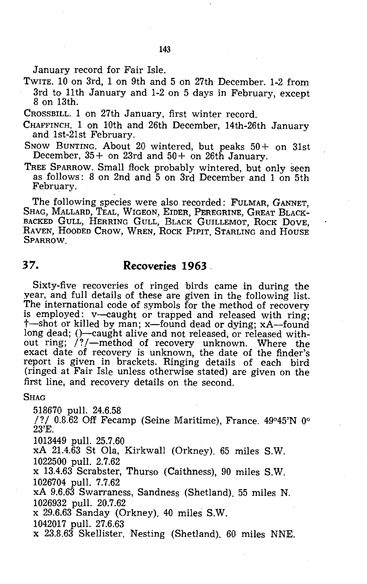January record for Fair Isle.

TWITE. 10 on 3rd, 1 on 9th and 5 on 27th December. 1-2 from 3rd to 11th January and 1-2 on 5 days in February, except 8 on 13th.

CROSSBILL. 1 on 27th January, first winter record.

CHAFFINCH. 1 on 10th and 26th December, 14th-26th January and 1st-21st February.

SNOW BUNTING. About 20 wintered, but peaks 50+ on 31st December, 35+ on 23rd and 50+ on 26th January.

TREE SPARROW. Small flock probably wintered, but only seen as follows: 8 on 2nd and 5 on 3rd December and 1 on 5th February.

The following species were also recorded: fuLMAR, GANNET, SHAG, MALLARD, TEAL, WIGEON, EIDER, PEREGRINE, GREAT BLACK-BACKED GULL, HERRING GULL, BLACK GUILLEMOT, ROCK DOVE, RAVEN, HOODED CROW, WREN, ROCK PIPIT, STARLING and HOUSE **SPARROW** 

#### **37. Recoveries 1963.**

Sixty-five recoveries of ringed birds came in during the year, and full details of these are given in the following list. The international code of symbols for the method of recovery is employed: v-caught or trapped and released with ring; t-shot or killed by man; x-found dead or dying; xA-found long dead; ()-caught alive and not released, or released without ring; *I? I-method* of recovery unknown. Where the exact date of recovery is unknown, the date of the finder's report is given in brackets. Ringing details of each bird (ringed at Fair Isle unless otherwise stated) are given on the first line, and recovery details on the second.

#### **Shag**

518670 pull. 24.6.58

/?/  $0.8.62$  Off Fecamp (Seine Maritime), France.  $49^{\circ}45'N$  0° 23'E.

1013449 pull. 25.7.60

xA 21.4.63 St Ola, Kirkwall (Orkney). 65 miles S.W. 1022500 pull. 2.7.62

x 13.4.63 Scrabster, Thurso (Caithness), 90 miles S.W. 1026704 pull. 7.7.62

xA 9.6.63 Swarraness, Sandness (Shetland). 55 miles N.

x 29.6.63 Sanday (Orkney). 40 miles S.W.

1042017 pull. 27.6.63

x 23.8.63 Skellister, Nesting (Shetland). 60 miles NNE.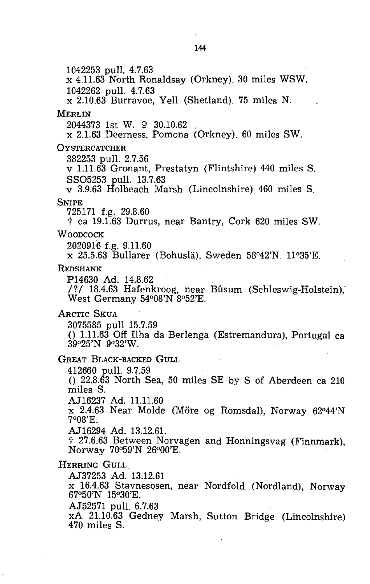1042253 pull. 4.7.63 x 4.11.63 North Ronaldsay (Orkney). 30 miles WSW. 1042262 pull. 4.7.63 x 2.10.63 Burravoe, Yell (Shetland). 75 miles N. MERLIN 2044373 1st W. 9 30.10.62 . x 2.1.63 Deerness, Pomona (Orkney). 60 miles SW. **OYSTERCATCHER** 382253 pull. 2.7.56 v 1.11.63 Gronant, Prestatyn (Flintshire) 440 miles S. SS05253 pull. 13.7.63 v 3.9.63 Holbeach Marsh (Lincolnshire) 460 miles S. SNIPE 725171 f.g. 29.8.60 t ca 19.1.63 Durrus, near Bantry, Cork 620 miles SW. WOODCOCK 2020916 f.g. 9.11.60 x 25.5.63 Bullarer (Bohusla), Sweden 58°42'N. 11°35'E. REDSHANK P14630 Ad. 14.8.62 /?/ 18.4.63 Hafenkroog, near Bûsum (Schleswig-Holstein), West Germany 54°08'N 8°52'E. ARCTIC SKUA 3075585 pull 15.7.59 () 1.11.63 Off Ilha da Berlenga (Estremandura), Portugal ca 39°25'N 9°32'W. GREAT BLACK-BACKED GULL 412660 pull. 9.7.59  $($ ) 22.8.63 North Sea, 50 miles SE by S of Aberdeen ca 210 miles S. AJ16237 Ad. 11.11.60 x 2.4.63 Near Molde (More og Romsdal), Norway 62°44'N 7°08'E. AJ16294 Ad. 13.12.61. t 27.6.63 Between Norvagen and Honningsvag (Finnmark), Norway 70°59'N 26°00'E. HERRING GULL AJ37253 Ad. 13.12.61 x 16.4.63 Stavnesosen, near Nordfold (Nordland), Norway 67°50'N 15°30'E. AJ52571 pull. 6.7.63 xA 21.10.63 Gedney Marsh, Sutton Bridge (Lincolnshire) 470 miles S.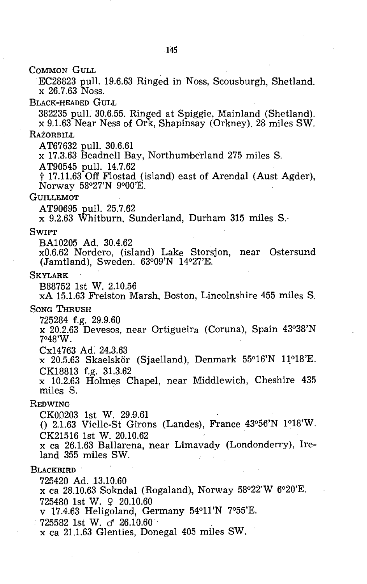COMMON GULL

EC28823 pull. 19.6.63 Ringed in Noss, Scousburgh, Shetland. x 26.7.63 Noss.

BLACK-HEADED GULL

382235 pull. 30.6.55. Ringed at Spiggie, Mainland (Shetland). x 9.1.63 Near Ness of Ork, Shapinsay (Orkney). 28 miles SW. RAZORBILL

AT67632 pull. 30.6.61

x 17.3.63 Beadnell Bay, Northumberland 275 miles S.

AT90545 pull. 14.7.62

t 17.11.63 Off Flostad (island) east of Arendal (Aust Agder), Norway 58°27'N 9°00'E.

#### **GUILLEMOT**

AT90695 pull. 25.7.62

x 9.2.63 Whitburn, Sunderland, Durham 315 miles S.-

#### **SWIFT**

BA10205 Ad. 30.4.62

xO.6.62 Nordero, (island) Lake Storsjon, near Ostersund (Jamtland), Sweden. 63°09'N 14°27'E.

#### **SKYLARK**

B88752 1st W. 2.10.56

xA 15.1.63 Freiston Marsh, Boston, Lincolnshire 455 miles S.

SONG THRUSH

725284 f.g. 29.9.60

x 20.2.63 Devesos, near Ortigueira (Coruna), Spain 43°38'N 7°48'W.

Cx14763 Ad. 24.3.63

 $x$  20.5.63 Skaelskör (Sjaelland), Denmark 55°16'N 11°18'E. CK18813 f.g. 31.3.62

x 10.2.63 Holmes Chapel, near Middlewich, Cheshire 435 miles S.

#### REDWING

CK00203 1st W. 29.9.61

 $() 2.1.63$  Vielle-St Girons (Landes), France  $43^{\circ}56'N$   $1^{\circ}18'W$ . CK21516 1st W. 20.10.62

x ca 26.1.63 Ballarena, near Limavady (Londonderry), Ireland 355 miles SW. .

#### **BLACKBIRD**

725420 Ad. 13.10.60

x ca 28.10.63 Sokndal (Rogaland), Norway 58°22'W 6°20'E. 725480 1st W. ¥> 20.10.60

v 17.4.63 Heligoland, Germany 54°11'N 7°55'E.

 $725582$  1st W.  $\sigma$  26.10.60

x ca 21.1.63 Glenties, Donegal 405 miles SW.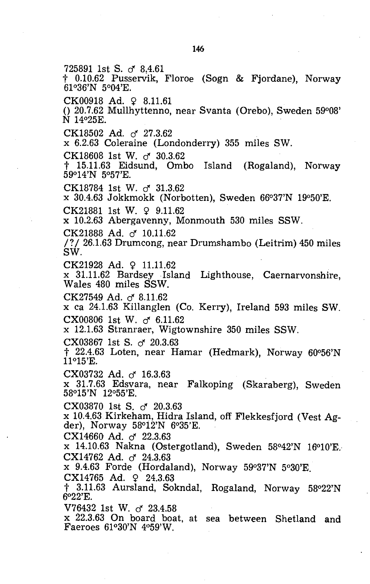725891 1st S. *d 8.4.61*  <sup>†</sup> 0.10.62 Pusservik, Floroe (Sogn & Fjordane), Norway 61°36'N 5°04'E. CK00918 Ad. 9 8.11.61 o 20.7.62 Mullhyttenno, near Svanta (Orebo), Sweden 59°08' N 14°25E. CK18502 Ad. d 27.3.62 x 6.2.63 Coleraine (Londonderry) 355 miles SW. CK18608 1st W. *d 30.3.62*  t 15.11.63 Eidsund, Ombo Island (Rogaland), Norway 59°14'N 5°57'E. CK18784 1st W. *d 31.3.62*  x 30.4.63 Jokkmokk (Norbotten), Sweden 66°37'N 19°50'E.  $CK21881$  1st W.  $9.11.62$ x 10.2.63 Abergavenny, Monmouth 530 miles SSW. CK21888 Ad. *d 10.11.62*  /? / 26.1.63 Drumcong, near Drumshambo (Leitrim) 450 miles SW.  $CK21928$  Ad.  $9$  11.11.62 x 31.11.62 Bardsey Island Lighthouse, Caernarvonshire, Wales 480 miles SSW. CK27549 Ad. *d 8.11.62*  x ca 24.1.63 Killanglen (Co. Kerry), Ireland 593 miles SW. CX00806 1st W. *d 6.11.62*  x 12.1.63 Stranraer, Wigtownshire 350 miles SSW. CX03867 1st S. *d 20.3.63*   $\ddagger$  22.4.63 Loten, near Hamar (Hedmark), Norway 60°56'N 11°15'E. CX03732 Ad. d *16.3.63*  x 31.7.63 Edsvara, near Falkoping (Skaraberg), Sweden 58°15'N 12°55'E. CX03870 1st S. d *20.3.63*  x 10.4.63 Kirkeham, Hidra Island, off Flekkesfjord (Vest Agder), Norway 58°12'N 6°35'E. . CX14660 Ad. d *22.3.63*  x 14.10.63 Nakna (Ostergotland), Sweden 58°42'N 16°10'E. CX14762 Ad. o<sup>2</sup> 24.3.63 x 9.4.63 Forde (Hordaland), Norway 5go37'N 5°30'E.  $CX14765$  Ad.  $9$  24.3.63 t 3.11.63 Aursland, Sokndal, Rogaland, Norway 58°22'N  $6^{\circ}22'$ E. V76432 1st W. d *23.4.58*  x 22.3.63 On board boat, at sea between Shetland and Faeroes 61°30'N 4°59'W.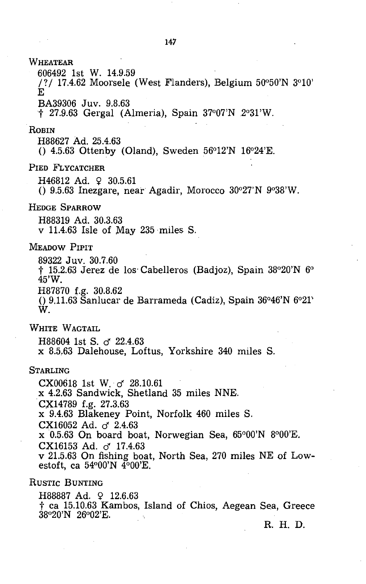**WHEATEAR** 606492 1st W. 14.9.59 /?/ 17.4.62 Moorsele (West Flanders), Belgium  $50^{\circ}50^{\prime}$ N  $3^{\circ}10^{\prime}$ E BA39306 Juv. 9.8.63 t 27.9.63 Gergal (Almeria), Spain 37°07'N 2°31'W. **ROBIN** H88627 Ad. 25.4.63  $($ ) 4.5.63 Ottenby (Oland), Sweden 56°12'N 16°24'E. PIED FLYCATCHER  $H46812$  Ad.  $9$  30.5.61  $($ ) 9.5.63 Inezgare, near Agadir, Morocco 30 $27'N$  9 $938'W$ . HEDGE SPARROW H88319 Ad. 30.3.63 v 11.4.63 Isle of May 235 miles S. MEADOW PIPIT 89322 Juv. 30.7.60 t 15.2.63 Jerez de los' Cabelleros (Badjoz), Spain 38°20'N 6° 45'W. H87870 f.g. 30.8.62  $(0, 9.11.63$  Sanlucar de Barrameda (Cadiz), Spain  $36^{\circ}46'$ N  $6^{\circ}21'$ W. WHITE WAGTAIL H88604 1st S. cf *22.4.63*  x 8.5,63 Dalehouse, Loftus, Yorkshire 340 miles S. STARLING CX00618 1st W. cf *28.10.61*  x 4.2.63 Sandwick, Shetland 35 miles NNE . . CX14789 f.g. 27.3.63 x 9.4.63 Blakeney Point, Norfolk 460 miles S. CX16052 Ad. cf *2.4.63*  x 0.5.63 On board boat, Norwegian Sea, 65°00'N 8°00'E. CX16153 Ad. 0" 17.4.63 v 21.5.63 On fishing boat, North Sea, 270 miles NE of Lowestoft, ca 54°00'N  $\overline{4}$ °00'E. RUSTIC BUNTING  $H88887$  Ad.  $\Omega$  12.6.63 t ca 15.10.63 Kambos, Island of Chios, Aegean Sea, Greece

38°20'N 26°02'E.

R. H. D.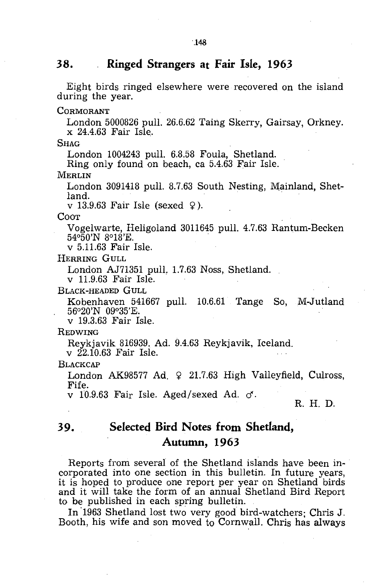#### **38. Ringed Strangers at Fair Isle, 1963**

Eight birds ringed elsewhere were recovered on the island during the year.

**CORMORANT** 

London 5000826 pull. 26.6.62 Taing Skerry, Gairsay, Orkney. x 24.4.63 Fair Isle.

**SHAG** 

London 1004243 pull. 6.8.58 Foula, Shetland.

Ring only found on beach, ca 5.4.63 Fair Isle.

**MERLIN** 

London 3091418 pull. 8.7.63 South Nesting, Mainland, Shetland. The contract of the contract of the contract of the contract of the contract of the contract of the contract of the contract of the contract of the contract of the contract of the contract of the contract of the cont

v 13.9.63 Fair Isle (sexed  $9$ ).

COOT

Vogelwarte, Heligoland 3011645 pull. 4.7.63 Rantum-Becken

v 5.11.63 Fair Isle.

HERRING GULL

London AJ71351 pull, 1.7.63 Noss, Shetland.

v 11.9.63 Fair Isle.

BLACK-HEADED GULL

Kobenhaven 541667 pull. 10.6.61 Tange So, M-Jutland 56°20'N 09°35'E.

v 19.3.63 Fair Isle.

#### **REDWING**

Reykjavik 816939. Ad. 9.4.63 Reykjavik, Iceland.

v 22.10.63 Fair Isle.

**BLACKCAP** 

London AK98577 Ad.  $\varphi$  21.7.63 High Valleyfield, Culross, Fife.

v 10.9.63 Fair Isle. Aged/sexed Ad.  $\sigma$ .

R. H. D.

# **39. Selected Bird Notes from Shetland, Autumn, 1963**

Reports from several of the Shetland islands have been incorporated into one section in this bulletin. In future years, it is hoped to produce one report per year on Shetland birds and it will take the form of an annual Shetland Bird Report to be published in each spring bulletin.

In'1963 Shetland lost two very good bird-watchers; Chris J. Booth, his wife and son moved to Cornwall. Chris has always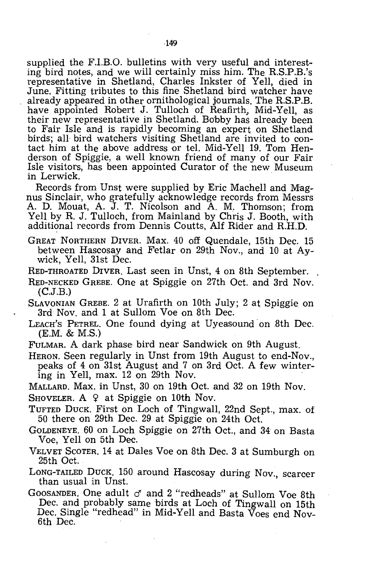supplied the F.I.B.O. bulletins with very useful and interesting bird notes, and we will certainly miss him. The RS.P.B.'s representative in Shetland, Charles Inkster of Yell, died in June. Fitting tributes to this fine Shetland bird watcher have already appeared in other ornithological journals. The RS.P.B. have appointed Robert J. Tulloch of Reafirth, Mid-Yell, as their new representative in Shetland. Bobby has already been to Fair Isle and is rapidly becoming an expert on Shetland birds; all bird watchers visiting Shetland are invited to contact him at the above address or tel. Mid-Yell 19. Tom Henderson of Spiggie, a well known friend of many of our Fair Isle visitors, has been appointed Curator of the new Museum in Lerwick.

Records from Unst were supplied by Eric Machell and Magnus Sinclair, who gratefully acknowledge records from Messrs A. D. Mouat, A. J. T. Nicolson and A. M. Thomson; from Yell by R. J. Tulloch, from Mainland by Chris J. Booth, with additional records from Dennis Coutts, Alf Rider and R.H.D.

- GREAT NORTHERN DIVER. Max. 40 off Quendale, 15th Dec. 15 between Hascosay and Fetlar on 29th Nov., and 10 at Aywick, Yell, 31st Dec.
- RED-THROATED DIVER. Last seen in Unst, 4 on 8th September.
- RED-NECKED GREBE. One at Spiggie on 27th Oct. and 3rd Nov. (C.J.B.)
- SLAVONIAN GREBE. 2 at Urafirth on 10th July; 2 at Spiggie on 3rd Nov. and 1 at Sullom Voe on 8th Dec.
- LEACH'S PETREL. One found dying at Uyeasound on 8th Dec. (E.M. & M.s.)
- FULMAR. A dark phase bird near Sandwick on 9th August.
- HERON. Seen regularly in Unst from 19th August to end-Nov., peaks of 4 on 31st August and 7 on 3rd Oct. A few wintering in Yell, max. 12 on 29th Nov.

MALLARD. Max. in Unst, 30 on 19th Oct. and 32 on 19th Nov.

- SHOVELER. A  $9$  at Spiggie on 10th Nov.
- TUFTED DUCK. First on Loch of Tingwall, 22nd Sept., max. of 50 there on 29th Dec. 29 at Spiggie on 24th Oct.
- GOLDENEYE. 60 on Loch Spiggie on 27th Oct., and 34 on Basta Voe, Yell on 5th Dec.
- VELVET SCOTER. 14 at Dales Voe on 8th Dec. 3 at Sumburgh on 25th Oct.
- LONG-TAILED DUCK. 150 around Hascosay during Nov., scarcer than usual in Unst.
- GOOSANDER. One adult  $\sigma$  and 2 "redheads" at Sullom Voe 8th Dec. and probably same birds at Loch of Tingwall on 15th Dec. Single "redhead" in Mid-Yell and Basta Voes end Nov-6th Dec.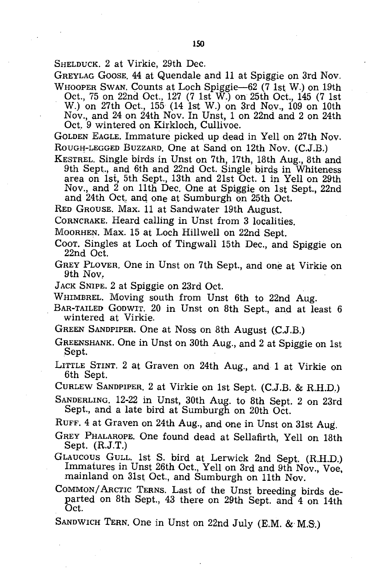SHELDUCK. 2 at Virkie, 29th Dec.

GREYLAG GOOSE. 44 at Quendale and 11 at Spiggie on 3rd Nov. WHOOPER SWAN. Counts at Loch Spiggie-62 (7 1st W.) on 19th

Oct., 75 on 22nd Oct., 127 (7 1st W.) on 25th Oct., 145 (7 1st W.) on 27th Oct., 155 (14 1st W.) on 3rd Nov., 109 on 10th Nov., and 24 on 24th Nov. In Unst, 1 on 22nd and 2 on 24th Oct. 9 wintered on Kirkloch, Cullivoe.

GOLDEN EAGLE. Immature picked up dead in Yell on 27th Nov. ROUGH-LEGGED BUZZARD. One at Sand on 12th Nov. (C.J.B.)

KESTREL. Single birds in Unst on 7th, 17th, 18th Aug., 8th and 9th Sept., and 6th and 22nd Oct. Single birds in Whiteness area on 1si, 5th Sept., 13th and 21st Oct. 1 in Yell on 29th Nov., and 2 on 11th Dec. One at Spiggie on 1st Sept., 22nd and  $24th$  Oct, and one at Sumburgh on  $25th$  Oct.

RED GROUSE. Max. 11 at Sandwater 19th August.

CORNCRAKE. Heard calling in Unst from 3 localities.

MOORHEN. Max. 15 at Loch Hillwell on 22nd Sept.

Coor. Singles at Loch of Tingwall 15th Dec., and Spiggie on 22nd Oct.

GREY PLOVER. One in Unst on 7th Sept., and one at Virkie on 9th Nov,

JACK SNIPE. 2 at Spiggie on 23rd Oct.

WHIMBREL. Moving south from Unst 6th to 22nd Aug.

- BAR-TAILED GODWIT. 20 in Unst on 8th Sept., and at least 6 wintered at Virkie.
- GREEN SANDPIPER. One at Noss on 8th August (C.J.B.)

GREENSHANK. One in Unst on 30th Aug., and 2 at Spiggie on 1st Sept.

- LITTLE STINT. 2 at Graven on 24th Aug., and 1 at Virkie on 6th Sept.
- CURLEW SANDPIPER. 2 at Virkie on 1st Sept. (C.J.B. & RH.D.)

SANDERLING. 12-22 in Unst, 30th Aug. to 8th Sept. 2 on 23rd Sept., and a late bird at Sumburgh on 20th Oct.

RUFF. 4 at Graven on 24th Aug., and one in Unst on 31st Aug.

GREY PHALAROPE. One found dead at Sellafirth, Yell on 18th Sept.  $(R.J.T.)$ 

- GLAUCOUS GULL. 1st S. bird at Lerwick 2nd Sept. (RH.D.) Immatures in Unst 26th Oct., Yell on 3rd and 9th Nov., Voe. mainland on 31st Oct., and Sumburgh on 11th Nov.
- COMMON/ARCTIC TERNS. Last of the Unst breeding birds departed on 8th Sept., 43 there on 29th Sept. and 4 on 14th Oct.

SANDWICH TERN. One in Unst on 22nd July (E.M. & M.S.)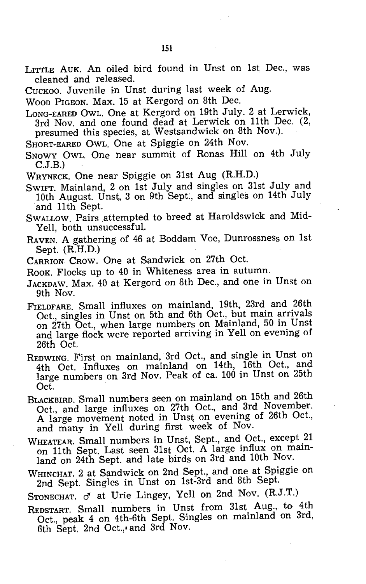LITTLE AUK. An oiled bird found in Unst on 1st Dec., was cleaned and released.

CUCKOO. Juvenile in Unst during last week of Aug.

WOOD PIGEON. Max. 15 at Kergord on 8th Dec.

LONG-EARED OWL. One at Kergord on 19th July. 2 at Lerwick, 3rd Nov. and one found dead at Lerwick on 11th Dec. (2, presumed this species, at Westsandwick on 8th Nov.).

SHORT-EARED OWL. One at Spiggie on 24th Nov.

Snowy Owl. One near summit of Ronas Hill on 4th July C.J.B.

WRYNECK. One near Spiggie on 31st Aug (RH.D.)

SWIFT. Mainland, 2 on 1st July and singles on 31st July and 10th August. Unst, 3 on 9th Sept., and singles on 14th July and 11th Sept.

SWALLOW. Pairs attempted to breed at Haroldswick and Mid-Yell, both unsuccessful.

- RAVEN. A gathering of 46 at Boddam Voe, Dunrossness on 1st Sept.  $(R.H.D.)$
- CARRION CROW. One at Sandwick on 27th Oct.

ROOK. Flocks up to 40 in Whiteness area in autumn.

- JACKDAW. Max. 40 at Kergord on 8th Dec., and one in Unst on 9th Nov.
- FIELDFARE. Small influxes on mainland, 19th, 23rd and 26th Oct., singles in Unst on 5th and 6th Oct., but main arrivals on 27th Oct., when large numbers on Mainland, 50 in Unst and large flock were reported arriving in Yell on evening of 26th Oct.
- REDWING. First on mainland, 3rd Oct., and single in Unst on 4th Oct. Influxes on mainland on 14th, 16th Oct., and large numbers on 3rd Nov. Peak of ca. 100 in Unst on 25th Oct.
- BLACKBIRD. Small numbers seen on mainland on 15th and 26th Oct., and large influxes on 27th Oct., and 3rd November. A large movement noted in Unst on evening of 26th Oct., and many in Yell during first week of Nov.
- WHEATEAR. Small numbers in Unst, Sept., and Oct., except 21 on 11th Sept. Last seen 31st Oct. A large influx on mainland on 24th Sept. and late birds on 3rd and 10th Nov.
- WHlNCHAT. 2 at Sandwick on 2nd Sept., and one at Spiggie on 2nd Sept. Singles in Unst on 1st-3rd and 8th Sept.

STONECHAT.  $\sigma$  at Urie Lingey, Yell on 2nd Nov. (R.J.T.)

REDSTART. Small numbers in Unst from 31st Aug., to 4th Oct., peak 4 on 4th-6th Sept. Singles on mainland on 3rd, 6th Sept, 2nd Oct.,' and 3rd Nov.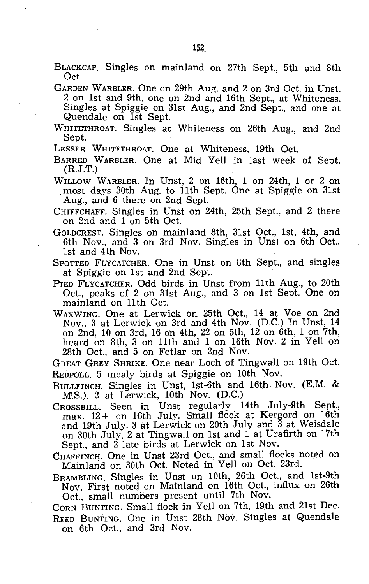- BLACKCAP. Singles on mainland on 27th Sept., 5th and 8th Oct.
- GARDEN WARBLER. One on 29th Aug. and 2 on 3rd Oct. in Unst. 2 on 1st and 9th, one on 2nd and 16th Sept., at Whiteness. Singles at Spiggie on 31st Aug., and 2nd Sept., and one at Quendale on 1st Sept.
- WHITETHROAT. Singles at Whiteness on 26th Aug., and 2nd Sept.

LESSER WHITETHROAT. One at Whiteness, 19th Oct.

BARRED WARBLER. One at Mid Yell in last week of Sept. (R.J.T.)

- WILLOW WARBLER. In Unst, 2 on 16th, 1 on 24th, 1 or 2 on most days 30th Aug. to 11th Sept. One at Spiggie on 31st Aug., and 6 there on 2nd Sept.
- CHIFFCHAFF. Singles in Unst on 24th, 25th Sept., and 2 there on 2nd and 1 on 5th Oct.
- GoLDCREST. Singles on mainland 8th, 31st Oct., 1st, 4th, and 6th Nov., and 3 on 3rd Nov. Singles in Unst on 6th Oct., 1st and 4th Nov.
- SPOTTED FLYCATCHER. One in Unst on 8th Sept., and singles at Spiggie on 1st and 2nd Sept.
- PIED FLYCATCHER. Odd birds in Unst from 11th Aug., to 20th Oct., peaks of 2 on 31st Aug., and 3 on 1st Sept. One on mainland on 11th Oct.
- WAXWING. One at Lerwick on 25th Oct., 14 at Voe on 2nd Nov., 3 at Lerwick on 3rd and 4th Nov. (D.C.) In Unst, 14 on 2nd, 10 on 3rd, 16 oh 4th, 22 on 5th, 12 on 6th, 1 on 7th, heard on 8th, 3 on 11th and 1 on 16th Nov. 2 in Yell on 28th Oct., and 5 on Fetlar on 2nd Nov.

GREAT GREY· SHRIKE. One near Loch of Tingwall on 19th Oct. REDPOLL. 5 mealy birds at Spiggie on 10th Nov.

BULLFINCH. Singles in Unst, 1st-6th and 16th Nov. (E.M. & M.S.). 2 at Lerwick, 10th Nov. (D.C.)

- CROSSBILL. Seen in Unst regularly 14th July-9th Sept., max. 12+ on 16th July. Small flock at Kergord on 16th and 19th July. 3 at Lerwick on 20th July and  $\bar{3}$  at Weisdale on 30th July. 2 at Tingwall on 1st and 1 at Urafirth on 17th Sept., and 2 late birds at Lerwick on 1st Nov.
- CHAFFINCH. One in Unst 23rd Oct., and small flocks noted on Mainland on 30th Oct. Noted in Yell on Oct. 23rd.

BRAMBLING. Singles in Unst on 10th, 26th Oct., and 1st-9th Nov. First noted on Mainland on 16th Oct., influx on 26th Oct., small numbers present until 7th Nov.

CORN BUNTING. Small flock in Yell on 7th, 19th and 21st Dec. REED BUNTING. One in Unst 28th Nov. Singles at Quendale on 6th Oct., and 3rd Nov.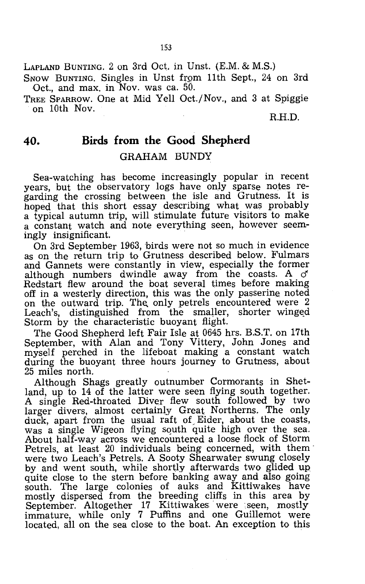LAPLAND BUNTING. 2 on 3rd Oct. in Unst. (E.M. & M.S.)

SNOW BUNTING. Singles in Unst from 11th Sept., 24 on 3rd Oct., and max. in Nov. was ca. 50.

TREE SPARROW. One at Mid Yell Oct./Nov., and 3 at Spiggie on 10th Nov.

R.H.D.

#### **40. Birds from the Good Shepherd**

#### GRAHAM BUNDY

Sea-watching has become increasingly popular in recent years, but the observatory logs have only sparse notes regarding the crossing between the isle and Grutness. It is hoped that this short essay describing what was probably a typical autumn trip, will stimulate future visitors to make a constant watch and note everything seen, however seemingly insignificant.

On 3rd September 1963, birds were not so much in evidence as on the return trip to Grutness described below. Fulmars and Gannets were constantly in view, especially the former although numbers dwindle away from the coasts. A  $\sigma$ Redstart flew around the boat several times before making off in a westerly direction, this was the only passerine noted on the outward trip. The only petrels encountered were 2 Leach's, distinguished from the smaller, shorter winged Storm by the characteristic buoyant flight.

The Good Shepherd left Fair Isle at 0645 hrs. B.S.T. on 17th September, with Alan and Tony Vittery, John Jones and myself perched in the lifeboat making a constant watch during the buoyant three hours journey to Grutness, about 25 miles north.

Although Shags greatly outnumber Cormorants in Shetland, up to 14 of the latter were seen flying south together. A single Red-throated Diver flew south followed by two larger divers, almost certainly Great Northerns. The only duck, apart from the usual raft of Eider, about the coasts, was a single Wigeon flying south quite high over the sea. About half-way across we encountered a loose flock of Storm Petrels, at least 20 individuals being concerned, with them were two Leach's Petrels. A Sooty Shearwater swung closely by and went south, while shortly afterwards two glided up quite close to the stern before banking away and also going south. The large colonies of auks and Kittiwakes have mostly dispersed from the breeding cliffs in this area by September. Altogether 17 Kittiwakes were seen, mostly immature, while only 7 Puffins and one Guillemot were located, all on the sea close to the boat. An exception to this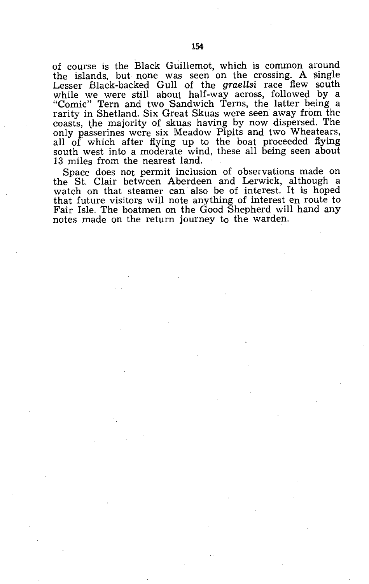of course is the Black Guillemot, which is common around the islands, but none was seen on the crossing. A single Lesser Black-backed Gull of the *graellsi* race flew south while we were still about half-way across, followed by a "Comic" Tern and two Sandwich Terns, the latter being a rarity in Shetland. Six Great Skuas were seen away from the coasts, the majority of skuas having by now dispersed. The only passerines were six Meadow Pipits and two Wheatears, all of which after flying up to the boat proceeded flying south west into a moderate wind, these all being seen about 13 miles from the nearest land.

Space does not permit inclusion of observations made on the St. Clair between Aberdeen and Lerwick, although a watch on that steamer can also be of interest. It is hoped that future visitors will note anything of interest en route to Fair Isle. The boatmen on the Good Shepherd will hand any notes made on the return journey to the warden.